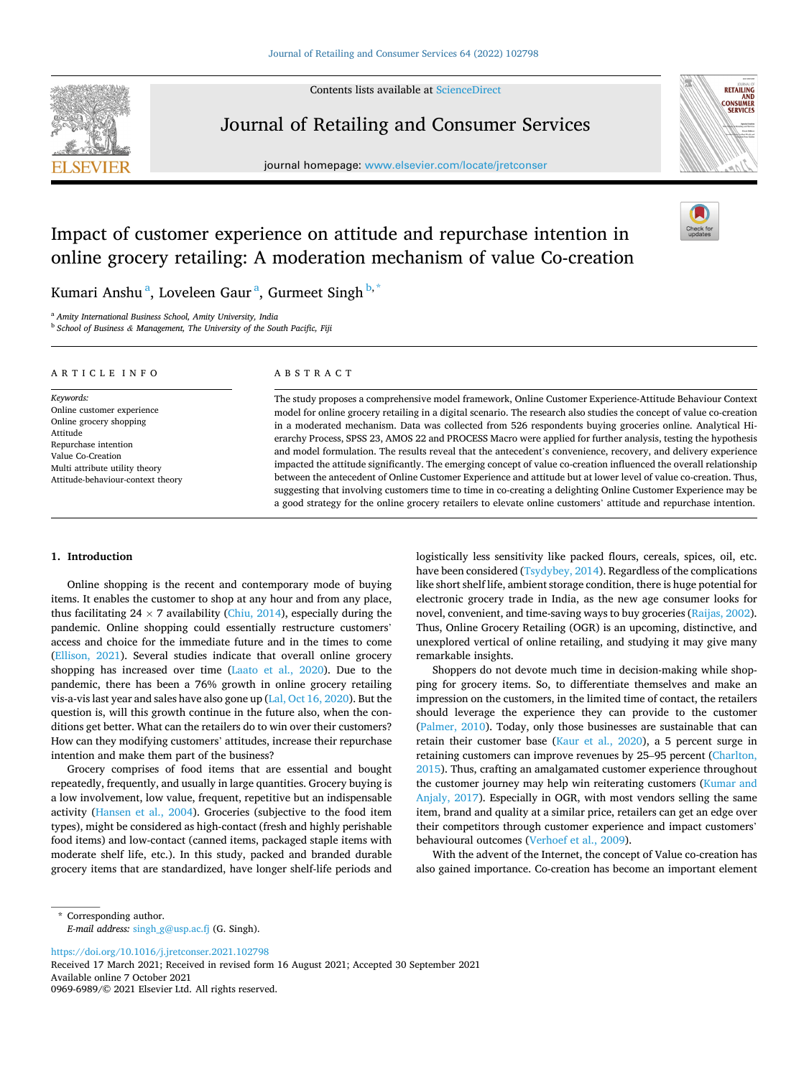Contents lists available at [ScienceDirect](www.sciencedirect.com/science/journal/09696989)

<span id="page-0-0"></span>

Journal of Retailing and Consumer Services

journal homepage: [www.elsevier.com/locate/jretconser](https://www.elsevier.com/locate/jretconser)



# Impact of customer experience on attitude and repurchase intention in online grocery retailing: A moderation mechanism of value Co-creation

Kumari Anshu<sup>a</sup>, Loveleen Gaur<sup>a</sup>, Gurmeet Singh<sup>b,\*</sup>

<sup>a</sup> *Amity International Business School, Amity University, India* 

<sup>b</sup> *School of Business & Management, The University of the South Pacific, Fiji* 

| ARTICLE INFO                                                                                                                                                                                       | ABSTRACT                                                                                                                                                                                                                                                                                                                                                                                                                                                                                                                                                                                                                                                                                                                                                                                                                                                                                                                                                                                                                                                          |
|----------------------------------------------------------------------------------------------------------------------------------------------------------------------------------------------------|-------------------------------------------------------------------------------------------------------------------------------------------------------------------------------------------------------------------------------------------------------------------------------------------------------------------------------------------------------------------------------------------------------------------------------------------------------------------------------------------------------------------------------------------------------------------------------------------------------------------------------------------------------------------------------------------------------------------------------------------------------------------------------------------------------------------------------------------------------------------------------------------------------------------------------------------------------------------------------------------------------------------------------------------------------------------|
| Keywords:<br>Online customer experience<br>Online grocery shopping<br>Attitude<br>Repurchase intention<br>Value Co-Creation<br>Multi attribute utility theory<br>Attitude-behaviour-context theory | The study proposes a comprehensive model framework, Online Customer Experience-Attitude Behaviour Context<br>model for online grocery retailing in a digital scenario. The research also studies the concept of value co-creation<br>in a moderated mechanism. Data was collected from 526 respondents buying groceries online. Analytical Hi-<br>erarchy Process, SPSS 23, AMOS 22 and PROCESS Macro were applied for further analysis, testing the hypothesis<br>and model formulation. The results reveal that the antecedent's convenience, recovery, and delivery experience<br>impacted the attitude significantly. The emerging concept of value co-creation influenced the overall relationship<br>between the antecedent of Online Customer Experience and attitude but at lower level of value co-creation. Thus,<br>suggesting that involving customers time to time in co-creating a delighting Online Customer Experience may be<br>a good strategy for the online grocery retailers to elevate online customers' attitude and repurchase intention. |

## **1. Introduction**

Online shopping is the recent and contemporary mode of buying items. It enables the customer to shop at any hour and from any place, thus facilitating 24  $\times$  7 availability ([Chiu, 2014](#page-11-0)), especially during the pandemic. Online shopping could essentially restructure customers' access and choice for the immediate future and in the times to come ([Ellison, 2021\)](#page-11-0). Several studies indicate that overall online grocery shopping has increased over time ([Laato et al., 2020](#page-11-0)). Due to the pandemic, there has been a 76% growth in online grocery retailing vis-a-vis last year and sales have also gone up ([Lal, Oct 16, 2020\)](#page-11-0). But the question is, will this growth continue in the future also, when the conditions get better. What can the retailers do to win over their customers? How can they modifying customers' attitudes, increase their repurchase intention and make them part of the business?

Grocery comprises of food items that are essential and bought repeatedly, frequently, and usually in large quantities. Grocery buying is a low involvement, low value, frequent, repetitive but an indispensable activity [\(Hansen et al., 2004\)](#page-11-0). Groceries (subjective to the food item types), might be considered as high-contact (fresh and highly perishable food items) and low-contact (canned items, packaged staple items with moderate shelf life, etc.). In this study, packed and branded durable grocery items that are standardized, have longer shelf-life periods and logistically less sensitivity like packed flours, cereals, spices, oil, etc. have been considered [\(Tsydybey, 2014](#page-12-0)). Regardless of the complications like short shelf life, ambient storage condition, there is huge potential for electronic grocery trade in India, as the new age consumer looks for novel, convenient, and time-saving ways to buy groceries [\(Raijas, 2002](#page-12-0)). Thus, Online Grocery Retailing (OGR) is an upcoming, distinctive, and unexplored vertical of online retailing, and studying it may give many remarkable insights.

Shoppers do not devote much time in decision-making while shopping for grocery items. So, to differentiate themselves and make an impression on the customers, in the limited time of contact, the retailers should leverage the experience they can provide to the customer ([Palmer, 2010\)](#page-12-0). Today, only those businesses are sustainable that can retain their customer base ([Kaur et al., 2020](#page-11-0)), a 5 percent surge in retaining customers can improve revenues by 25–95 percent ([Charlton,](#page-11-0)  [2015\)](#page-11-0). Thus, crafting an amalgamated customer experience throughout the customer journey may help win reiterating customers [\(Kumar and](#page-11-0)  [Anjaly, 2017\)](#page-11-0). Especially in OGR, with most vendors selling the same item, brand and quality at a similar price, retailers can get an edge over their competitors through customer experience and impact customers' behavioural outcomes ([Verhoef et al., 2009](#page-12-0)).

With the advent of the Internet, the concept of Value co-creation has also gained importance. Co-creation has become an important element

<https://doi.org/10.1016/j.jretconser.2021.102798>

Available online 7 October 2021 Received 17 March 2021; Received in revised form 16 August 2021; Accepted 30 September 2021

0969-6989/© 2021 Elsevier Ltd. All rights reserved.

<sup>\*</sup> Corresponding author. *E-mail address:* [singh\\_g@usp.ac.fj](mailto:singh_g@usp.ac.fj) (G. Singh).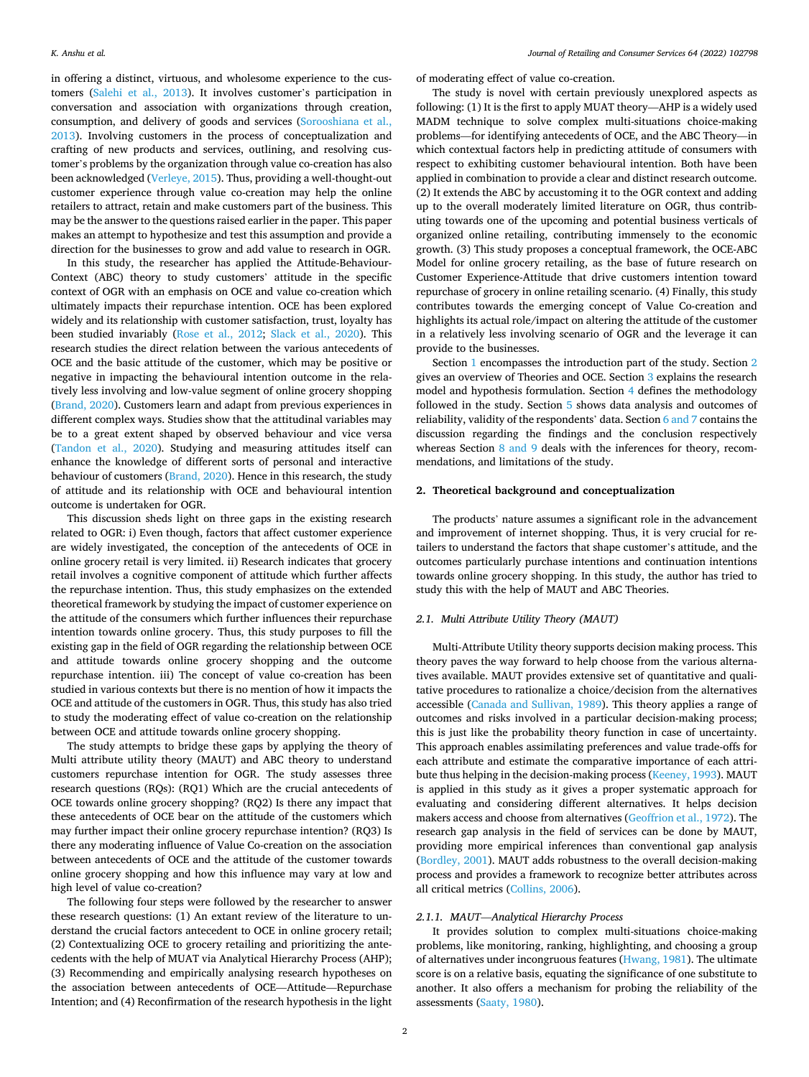in offering a distinct, virtuous, and wholesome experience to the customers ([Salehi et al., 2013](#page-12-0)). It involves customer's participation in conversation and association with organizations through creation, consumption, and delivery of goods and services [\(Sorooshiana et al.,](#page-12-0)  [2013\)](#page-12-0). Involving customers in the process of conceptualization and crafting of new products and services, outlining, and resolving customer's problems by the organization through value co-creation has also been acknowledged [\(Verleye, 2015\)](#page-12-0). Thus, providing a well-thought-out customer experience through value co-creation may help the online retailers to attract, retain and make customers part of the business. This may be the answer to the questions raised earlier in the paper. This paper makes an attempt to hypothesize and test this assumption and provide a direction for the businesses to grow and add value to research in OGR.

In this study, the researcher has applied the Attitude-Behaviour-Context (ABC) theory to study customers' attitude in the specific context of OGR with an emphasis on OCE and value co-creation which ultimately impacts their repurchase intention. OCE has been explored widely and its relationship with customer satisfaction, trust, loyalty has been studied invariably [\(Rose et al., 2012](#page-12-0); [Slack et al., 2020\)](#page-12-0). This research studies the direct relation between the various antecedents of OCE and the basic attitude of the customer, which may be positive or negative in impacting the behavioural intention outcome in the relatively less involving and low-value segment of online grocery shopping ([Brand, 2020\)](#page-11-0). Customers learn and adapt from previous experiences in different complex ways. Studies show that the attitudinal variables may be to a great extent shaped by observed behaviour and vice versa ([Tandon et al., 2020\)](#page-12-0). Studying and measuring attitudes itself can enhance the knowledge of different sorts of personal and interactive behaviour of customers [\(Brand, 2020\)](#page-11-0). Hence in this research, the study of attitude and its relationship with OCE and behavioural intention outcome is undertaken for OGR.

This discussion sheds light on three gaps in the existing research related to OGR: i) Even though, factors that affect customer experience are widely investigated, the conception of the antecedents of OCE in online grocery retail is very limited. ii) Research indicates that grocery retail involves a cognitive component of attitude which further affects the repurchase intention. Thus, this study emphasizes on the extended theoretical framework by studying the impact of customer experience on the attitude of the consumers which further influences their repurchase intention towards online grocery. Thus, this study purposes to fill the existing gap in the field of OGR regarding the relationship between OCE and attitude towards online grocery shopping and the outcome repurchase intention. iii) The concept of value co-creation has been studied in various contexts but there is no mention of how it impacts the OCE and attitude of the customers in OGR. Thus, this study has also tried to study the moderating effect of value co-creation on the relationship between OCE and attitude towards online grocery shopping.

The study attempts to bridge these gaps by applying the theory of Multi attribute utility theory (MAUT) and ABC theory to understand customers repurchase intention for OGR. The study assesses three research questions (RQs): (RQ1) Which are the crucial antecedents of OCE towards online grocery shopping? (RQ2) Is there any impact that these antecedents of OCE bear on the attitude of the customers which may further impact their online grocery repurchase intention? (RQ3) Is there any moderating influence of Value Co-creation on the association between antecedents of OCE and the attitude of the customer towards online grocery shopping and how this influence may vary at low and high level of value co-creation?

The following four steps were followed by the researcher to answer these research questions: (1) An extant review of the literature to understand the crucial factors antecedent to OCE in online grocery retail; (2) Contextualizing OCE to grocery retailing and prioritizing the antecedents with the help of MUAT via Analytical Hierarchy Process (AHP); (3) Recommending and empirically analysing research hypotheses on the association between antecedents of OCE—Attitude—Repurchase Intention; and (4) Reconfirmation of the research hypothesis in the light of moderating effect of value co-creation.

The study is novel with certain previously unexplored aspects as following: (1) It is the first to apply MUAT theory—AHP is a widely used MADM technique to solve complex multi-situations choice-making problems—for identifying antecedents of OCE, and the ABC Theory—in which contextual factors help in predicting attitude of consumers with respect to exhibiting customer behavioural intention. Both have been applied in combination to provide a clear and distinct research outcome. (2) It extends the ABC by accustoming it to the OGR context and adding up to the overall moderately limited literature on OGR, thus contributing towards one of the upcoming and potential business verticals of organized online retailing, contributing immensely to the economic growth. (3) This study proposes a conceptual framework, the OCE-ABC Model for online grocery retailing, as the base of future research on Customer Experience-Attitude that drive customers intention toward repurchase of grocery in online retailing scenario. (4) Finally, this study contributes towards the emerging concept of Value Co-creation and highlights its actual role/impact on altering the attitude of the customer in a relatively less involving scenario of OGR and the leverage it can provide to the businesses.

Section [1](#page-0-0) encompasses the introduction part of the study. Section 2 gives an overview of Theories and OCE. Section [3](#page-2-0) explains the research model and hypothesis formulation. Section [4](#page-4-0) defines the methodology followed in the study. Section [5](#page-6-0) shows data analysis and outcomes of reliability, validity of the respondents' data. Section [6 and 7](#page-7-0) contains the discussion regarding the findings and the conclusion respectively whereas Section 8 and 9 deals with the inferences for theory, recommendations, and limitations of the study.

#### **2. Theoretical background and conceptualization**

The products' nature assumes a significant role in the advancement and improvement of internet shopping. Thus, it is very crucial for retailers to understand the factors that shape customer's attitude, and the outcomes particularly purchase intentions and continuation intentions towards online grocery shopping. In this study, the author has tried to study this with the help of MAUT and ABC Theories.

## *2.1. Multi Attribute Utility Theory (MAUT)*

Multi-Attribute Utility theory supports decision making process. This theory paves the way forward to help choose from the various alternatives available. MAUT provides extensive set of quantitative and qualitative procedures to rationalize a choice/decision from the alternatives accessible [\(Canada and Sullivan, 1989](#page-11-0)). This theory applies a range of outcomes and risks involved in a particular decision-making process; this is just like the probability theory function in case of uncertainty. This approach enables assimilating preferences and value trade-offs for each attribute and estimate the comparative importance of each attribute thus helping in the decision-making process [\(Keeney, 1993\)](#page-11-0). MAUT is applied in this study as it gives a proper systematic approach for evaluating and considering different alternatives. It helps decision makers access and choose from alternatives ([Geoffrion et al., 1972](#page-11-0)). The research gap analysis in the field of services can be done by MAUT, providing more empirical inferences than conventional gap analysis ([Bordley, 2001](#page-11-0)). MAUT adds robustness to the overall decision-making process and provides a framework to recognize better attributes across all critical metrics ([Collins, 2006\)](#page-11-0).

## *2.1.1. MAUT*—*Analytical Hierarchy Process*

It provides solution to complex multi-situations choice-making problems, like monitoring, ranking, highlighting, and choosing a group of alternatives under incongruous features ([Hwang, 1981\)](#page-11-0). The ultimate score is on a relative basis, equating the significance of one substitute to another. It also offers a mechanism for probing the reliability of the assessments ([Saaty, 1980](#page-12-0)).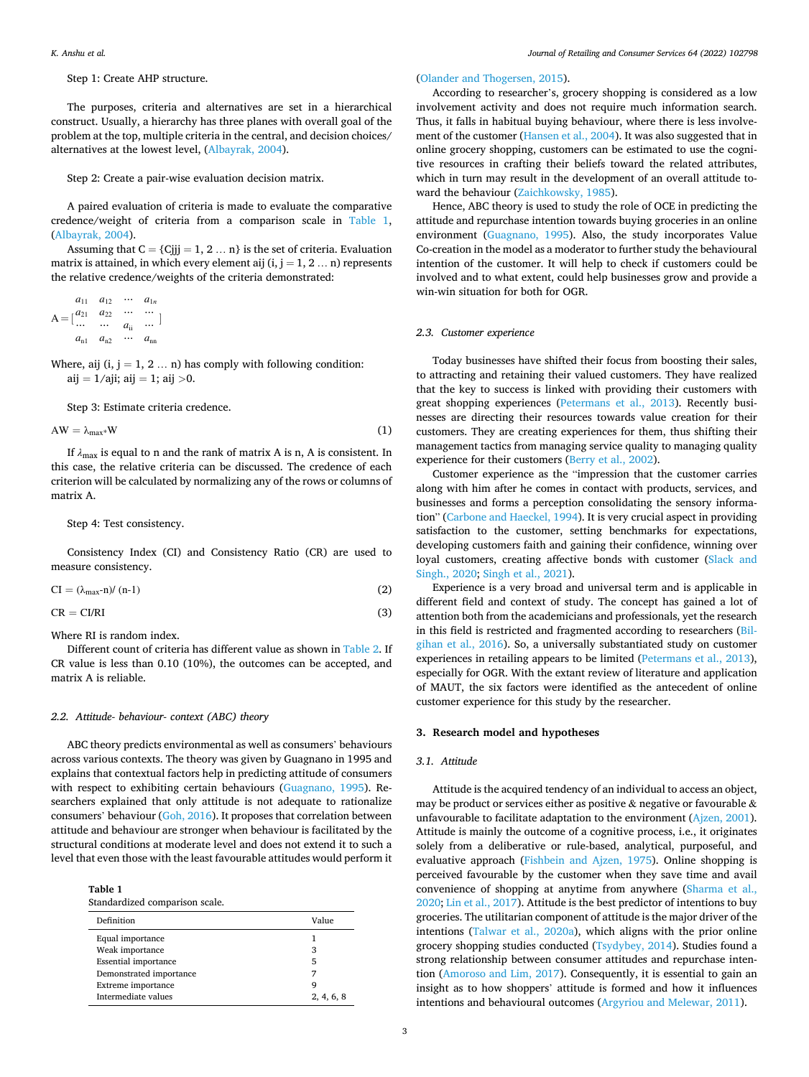# <span id="page-2-0"></span>Step 1: Create AHP structure.

The purposes, criteria and alternatives are set in a hierarchical construct. Usually, a hierarchy has three planes with overall goal of the problem at the top, multiple criteria in the central, and decision choices/ alternatives at the lowest level, [\(Albayrak, 2004\)](#page-11-0).

Step 2: Create a pair-wise evaluation decision matrix.

A paired evaluation of criteria is made to evaluate the comparative credence/weight of criteria from a comparison scale in Table 1, ([Albayrak, 2004](#page-11-0)).

Assuming that  $C = \{Cjjj = 1, 2 \dots n\}$  is the set of criteria. Evaluation matrix is attained, in which every element aij  $(i, j = 1, 2 ... n)$  represents the relative credence/weights of the criteria demonstrated:

$$
A = \begin{bmatrix} a_{11} & a_{12} & \cdots & a_{1n} \\ a_{21} & a_{22} & \cdots & \cdots \\ \cdots & \cdots & a_{ii} & \cdots \end{bmatrix}
$$
  
\n
$$
a_{n1} \quad a_{n2} \quad \cdots \quad a_{nn}
$$

Where, aij  $(i, j = 1, 2 ... n)$  has comply with following condition: aij = 1/aji; aij = 1; aij *>*0.

Step 3: Estimate criteria credence.

 $AW = \lambda_{\text{max}}*W$  (1)

If  $\lambda_{\text{max}}$  is equal to n and the rank of matrix A is n, A is consistent. In this case, the relative criteria can be discussed. The credence of each criterion will be calculated by normalizing any of the rows or columns of matrix A.

## Step 4: Test consistency.

Consistency Index (CI) and Consistency Ratio (CR) are used to measure consistency.

 $CI = (\lambda_{\text{max}} - n) / (n-1)$  (2)

 $CR = C1/RI$  (3)

Where RI is random index.

Different count of criteria has different value as shown in [Table 2](#page-3-0). If CR value is less than 0.10 (10%), the outcomes can be accepted, and matrix A is reliable.

#### *2.2. Attitude- behaviour- context (ABC) theory*

ABC theory predicts environmental as well as consumers' behaviours across various contexts. The theory was given by Guagnano in 1995 and explains that contextual factors help in predicting attitude of consumers with respect to exhibiting certain behaviours ([Guagnano, 1995](#page-11-0)). Researchers explained that only attitude is not adequate to rationalize consumers' behaviour ([Goh, 2016](#page-11-0)). It proposes that correlation between attitude and behaviour are stronger when behaviour is facilitated by the structural conditions at moderate level and does not extend it to such a level that even those with the least favourable attitudes would perform it

**Table 1** 

Standardized comparison scale.

| Definition                  | Value      |
|-----------------------------|------------|
| Equal importance            |            |
| Weak importance             | 3          |
| <b>Essential importance</b> | 5          |
| Demonstrated importance     |            |
| Extreme importance          | q          |
| Intermediate values         | 2, 4, 6, 8 |

## ([Olander and Thogersen, 2015\)](#page-12-0).

According to researcher's, grocery shopping is considered as a low involvement activity and does not require much information search. Thus, it falls in habitual buying behaviour, where there is less involvement of the customer ([Hansen et al., 2004\)](#page-11-0). It was also suggested that in online grocery shopping, customers can be estimated to use the cognitive resources in crafting their beliefs toward the related attributes, which in turn may result in the development of an overall attitude toward the behaviour [\(Zaichkowsky, 1985\)](#page-12-0).

Hence, ABC theory is used to study the role of OCE in predicting the attitude and repurchase intention towards buying groceries in an online environment ([Guagnano, 1995](#page-11-0)). Also, the study incorporates Value Co-creation in the model as a moderator to further study the behavioural intention of the customer. It will help to check if customers could be involved and to what extent, could help businesses grow and provide a win-win situation for both for OGR.

#### *2.3. Customer experience*

Today businesses have shifted their focus from boosting their sales, to attracting and retaining their valued customers. They have realized that the key to success is linked with providing their customers with great shopping experiences ([Petermans et al., 2013\)](#page-12-0). Recently businesses are directing their resources towards value creation for their customers. They are creating experiences for them, thus shifting their management tactics from managing service quality to managing quality experience for their customers [\(Berry et al., 2002](#page-11-0)).

Customer experience as the "impression that the customer carries along with him after he comes in contact with products, services, and businesses and forms a perception consolidating the sensory information" [\(Carbone and Haeckel, 1994\)](#page-11-0). It is very crucial aspect in providing satisfaction to the customer, setting benchmarks for expectations, developing customers faith and gaining their confidence, winning over loyal customers, creating affective bonds with customer ([Slack and](#page-12-0)  [Singh., 2020](#page-12-0); [Singh et al., 2021](#page-12-0)).

Experience is a very broad and universal term and is applicable in different field and context of study. The concept has gained a lot of attention both from the academicians and professionals, yet the research in this field is restricted and fragmented according to researchers [\(Bil](#page-11-0)[gihan et al., 2016\)](#page-11-0). So, a universally substantiated study on customer experiences in retailing appears to be limited ([Petermans et al., 2013](#page-12-0)), especially for OGR. With the extant review of literature and application of MAUT, the six factors were identified as the antecedent of online customer experience for this study by the researcher.

## **3. Research model and hypotheses**

## *3.1. Attitude*

Attitude is the acquired tendency of an individual to access an object, may be product or services either as positive & negative or favourable & unfavourable to facilitate adaptation to the environment [\(Ajzen, 2001](#page-11-0)). Attitude is mainly the outcome of a cognitive process, i.e., it originates solely from a deliberative or rule-based, analytical, purposeful, and evaluative approach [\(Fishbein and Ajzen, 1975](#page-11-0)). Online shopping is perceived favourable by the customer when they save time and avail convenience of shopping at anytime from anywhere ([Sharma et al.,](#page-12-0)  [2020;](#page-12-0) [Lin et al., 2017\)](#page-11-0). Attitude is the best predictor of intentions to buy groceries. The utilitarian component of attitude is the major driver of the intentions [\(Talwar et al., 2020a\)](#page-12-0), which aligns with the prior online grocery shopping studies conducted [\(Tsydybey, 2014](#page-12-0)). Studies found a strong relationship between consumer attitudes and repurchase intention [\(Amoroso and Lim, 2017](#page-11-0)). Consequently, it is essential to gain an insight as to how shoppers' attitude is formed and how it influences intentions and behavioural outcomes ([Argyriou and Melewar, 2011](#page-11-0)).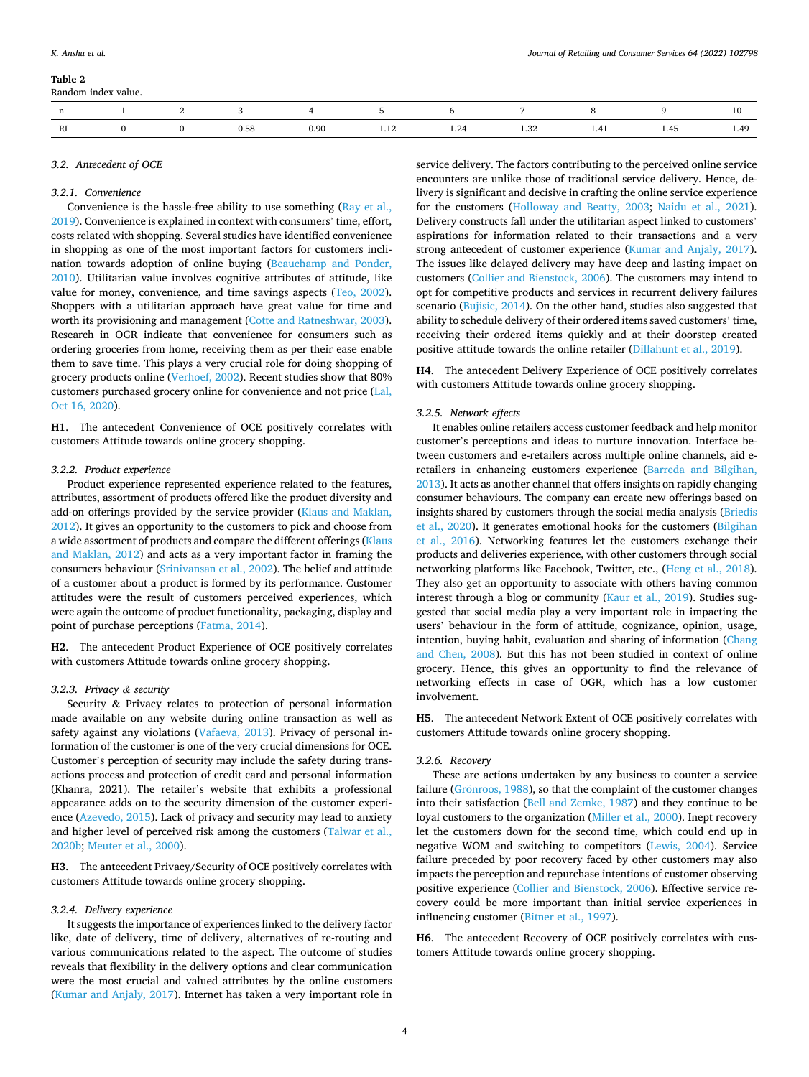<span id="page-3-0"></span>

|    |  |      |      | $\sim$ 6 | $\mathcal{L}$ and $\mathcal{L}$ and $\mathcal{L}$ |  |         |
|----|--|------|------|----------|---------------------------------------------------|--|---------|
| RI |  | 0.58 | 0.90 | 24<br>.  | 1.32                                              |  | 49<br>. |

## *3.2. Antecedent of OCE*

#### *3.2.1. Convenience*

Convenience is the hassle-free ability to use something [\(Ray et al.,](#page-12-0)  [2019\)](#page-12-0). Convenience is explained in context with consumers' time, effort, costs related with shopping. Several studies have identified convenience in shopping as one of the most important factors for customers inclination towards adoption of online buying ([Beauchamp and Ponder,](#page-11-0)  [2010\)](#page-11-0). Utilitarian value involves cognitive attributes of attitude, like value for money, convenience, and time savings aspects [\(Teo, 2002](#page-12-0)). Shoppers with a utilitarian approach have great value for time and worth its provisioning and management [\(Cotte and Ratneshwar, 2003](#page-11-0)). Research in OGR indicate that convenience for consumers such as ordering groceries from home, receiving them as per their ease enable them to save time. This plays a very crucial role for doing shopping of grocery products online [\(Verhoef, 2002](#page-12-0)). Recent studies show that 80% customers purchased grocery online for convenience and not price ([Lal,](#page-11-0)  [Oct 16, 2020\)](#page-11-0).

**H1**. The antecedent Convenience of OCE positively correlates with customers Attitude towards online grocery shopping.

## *3.2.2. Product experience*

Product experience represented experience related to the features, attributes, assortment of products offered like the product diversity and add-on offerings provided by the service provider [\(Klaus and Maklan,](#page-11-0)  [2012\)](#page-11-0). It gives an opportunity to the customers to pick and choose from a wide assortment of products and compare the different offerings [\(Klaus](#page-11-0)  [and Maklan, 2012\)](#page-11-0) and acts as a very important factor in framing the consumers behaviour ([Srinivansan et al., 2002](#page-12-0)). The belief and attitude of a customer about a product is formed by its performance. Customer attitudes were the result of customers perceived experiences, which were again the outcome of product functionality, packaging, display and point of purchase perceptions ([Fatma, 2014](#page-11-0)).

**H2**. The antecedent Product Experience of OCE positively correlates with customers Attitude towards online grocery shopping.

#### *3.2.3. Privacy & security*

Security & Privacy relates to protection of personal information made available on any website during online transaction as well as safety against any violations [\(Vafaeva, 2013](#page-12-0)). Privacy of personal information of the customer is one of the very crucial dimensions for OCE. Customer's perception of security may include the safety during transactions process and protection of credit card and personal information (Khanra, 2021). The retailer's website that exhibits a professional appearance adds on to the security dimension of the customer experience ([Azevedo, 2015](#page-11-0)). Lack of privacy and security may lead to anxiety and higher level of perceived risk among the customers [\(Talwar et al.,](#page-12-0)  [2020b;](#page-12-0) [Meuter et al., 2000](#page-12-0)).

**H3**. The antecedent Privacy/Security of OCE positively correlates with customers Attitude towards online grocery shopping.

#### *3.2.4. Delivery experience*

It suggests the importance of experiences linked to the delivery factor like, date of delivery, time of delivery, alternatives of re-routing and various communications related to the aspect. The outcome of studies reveals that flexibility in the delivery options and clear communication were the most crucial and valued attributes by the online customers ([Kumar and Anjaly, 2017](#page-11-0)). Internet has taken a very important role in

service delivery. The factors contributing to the perceived online service encounters are unlike those of traditional service delivery. Hence, delivery is significant and decisive in crafting the online service experience for the customers ([Holloway and Beatty, 2003](#page-11-0); [Naidu et al., 2021](#page-12-0)). Delivery constructs fall under the utilitarian aspect linked to customers' aspirations for information related to their transactions and a very strong antecedent of customer experience [\(Kumar and Anjaly, 2017](#page-11-0)). The issues like delayed delivery may have deep and lasting impact on customers ([Collier and Bienstock, 2006](#page-11-0)). The customers may intend to opt for competitive products and services in recurrent delivery failures scenario [\(Bujisic, 2014](#page-11-0)). On the other hand, studies also suggested that ability to schedule delivery of their ordered items saved customers' time, receiving their ordered items quickly and at their doorstep created positive attitude towards the online retailer [\(Dillahunt et al., 2019\)](#page-11-0).

**H4**. The antecedent Delivery Experience of OCE positively correlates with customers Attitude towards online grocery shopping.

## *3.2.5. Network effects*

It enables online retailers access customer feedback and help monitor customer's perceptions and ideas to nurture innovation. Interface between customers and e-retailers across multiple online channels, aid eretailers in enhancing customers experience ([Barreda and Bilgihan,](#page-11-0)  [2013\)](#page-11-0). It acts as another channel that offers insights on rapidly changing consumer behaviours. The company can create new offerings based on insights shared by customers through the social media analysis [\(Briedis](#page-11-0)  [et al., 2020](#page-11-0)). It generates emotional hooks for the customers [\(Bilgihan](#page-11-0)  [et al., 2016\)](#page-11-0). Networking features let the customers exchange their products and deliveries experience, with other customers through social networking platforms like Facebook, Twitter, etc., ([Heng et al., 2018](#page-11-0)). They also get an opportunity to associate with others having common interest through a blog or community ([Kaur et al., 2019](#page-11-0)). Studies suggested that social media play a very important role in impacting the users' behaviour in the form of attitude, cognizance, opinion, usage, intention, buying habit, evaluation and sharing of information [\(Chang](#page-11-0)  [and Chen, 2008\)](#page-11-0). But this has not been studied in context of online grocery. Hence, this gives an opportunity to find the relevance of networking effects in case of OGR, which has a low customer involvement.

**H5**. The antecedent Network Extent of OCE positively correlates with customers Attitude towards online grocery shopping.

## *3.2.6. Recovery*

These are actions undertaken by any business to counter a service failure (Grönroos, 1988), so that the complaint of the customer changes into their satisfaction [\(Bell and Zemke, 1987\)](#page-11-0) and they continue to be loyal customers to the organization [\(Miller et al., 2000](#page-12-0)). Inept recovery let the customers down for the second time, which could end up in negative WOM and switching to competitors ([Lewis, 2004](#page-11-0)). Service failure preceded by poor recovery faced by other customers may also impacts the perception and repurchase intentions of customer observing positive experience ([Collier and Bienstock, 2006](#page-11-0)). Effective service recovery could be more important than initial service experiences in influencing customer [\(Bitner et al., 1997](#page-11-0)).

**H6**. The antecedent Recovery of OCE positively correlates with customers Attitude towards online grocery shopping.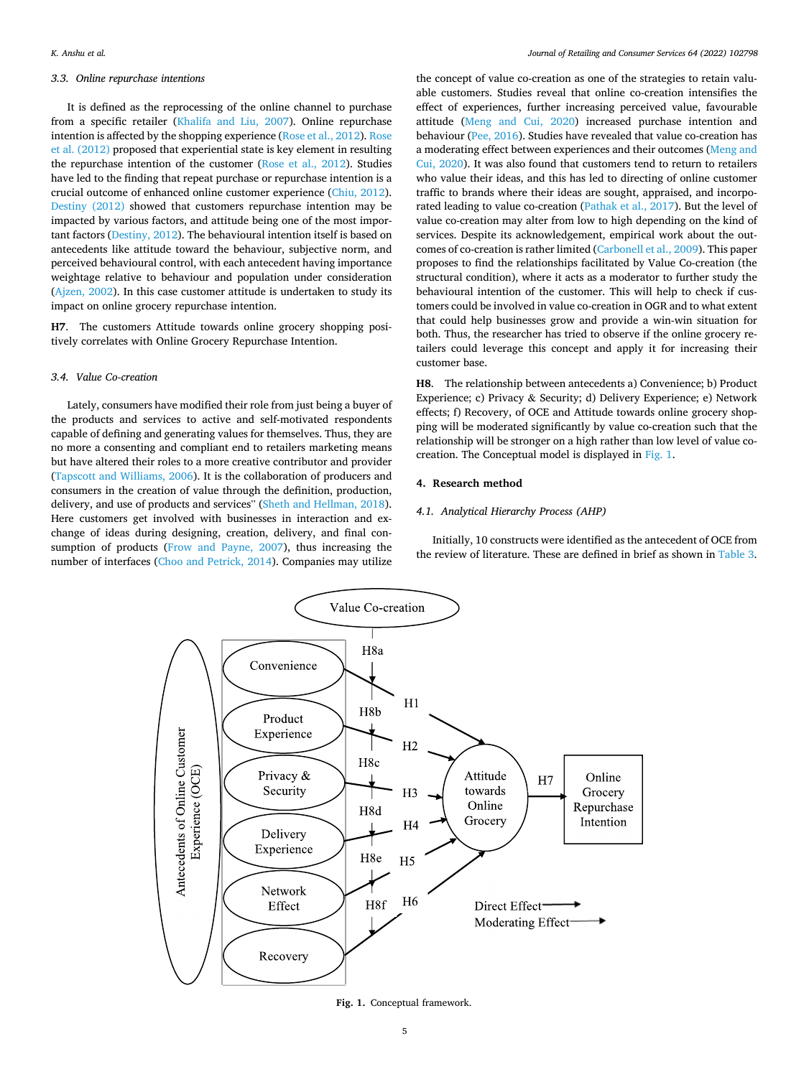## <span id="page-4-0"></span>*3.3. Online repurchase intentions*

It is defined as the reprocessing of the online channel to purchase from a specific retailer ([Khalifa and Liu, 2007\)](#page-11-0). Online repurchase intention is affected by the shopping experience ([Rose et al., 2012](#page-12-0)). [Rose](#page-12-0)  [et al. \(2012\)](#page-12-0) proposed that experiential state is key element in resulting the repurchase intention of the customer ([Rose et al., 2012\)](#page-12-0). Studies have led to the finding that repeat purchase or repurchase intention is a crucial outcome of enhanced online customer experience [\(Chiu, 2012](#page-11-0)). [Destiny \(2012\)](#page-11-0) showed that customers repurchase intention may be impacted by various factors, and attitude being one of the most important factors [\(Destiny, 2012\)](#page-11-0). The behavioural intention itself is based on antecedents like attitude toward the behaviour, subjective norm, and perceived behavioural control, with each antecedent having importance weightage relative to behaviour and population under consideration ([Ajzen, 2002](#page-11-0)). In this case customer attitude is undertaken to study its impact on online grocery repurchase intention.

**H7**. The customers Attitude towards online grocery shopping positively correlates with Online Grocery Repurchase Intention.

## *3.4. Value Co-creation*

Lately, consumers have modified their role from just being a buyer of the products and services to active and self-motivated respondents capable of defining and generating values for themselves. Thus, they are no more a consenting and compliant end to retailers marketing means but have altered their roles to a more creative contributor and provider ([Tapscott and Williams, 2006](#page-12-0)). It is the collaboration of producers and consumers in the creation of value through the definition, production, delivery, and use of products and services" ([Sheth and Hellman, 2018](#page-12-0)). Here customers get involved with businesses in interaction and exchange of ideas during designing, creation, delivery, and final consumption of products ([Frow and Payne, 2007\)](#page-11-0), thus increasing the number of interfaces [\(Choo and Petrick, 2014](#page-11-0)). Companies may utilize

the concept of value co-creation as one of the strategies to retain valuable customers. Studies reveal that online co-creation intensifies the effect of experiences, further increasing perceived value, favourable attitude [\(Meng and Cui, 2020](#page-11-0)) increased purchase intention and behaviour [\(Pee, 2016\)](#page-12-0). Studies have revealed that value co-creation has a moderating effect between experiences and their outcomes [\(Meng and](#page-11-0)  [Cui, 2020](#page-11-0)). It was also found that customers tend to return to retailers who value their ideas, and this has led to directing of online customer traffic to brands where their ideas are sought, appraised, and incorporated leading to value co-creation [\(Pathak et al., 2017\)](#page-12-0). But the level of value co-creation may alter from low to high depending on the kind of services. Despite its acknowledgement, empirical work about the outcomes of co-creation is rather limited ([Carbonell et al., 2009](#page-11-0)). This paper proposes to find the relationships facilitated by Value Co-creation (the structural condition), where it acts as a moderator to further study the behavioural intention of the customer. This will help to check if customers could be involved in value co-creation in OGR and to what extent that could help businesses grow and provide a win-win situation for both. Thus, the researcher has tried to observe if the online grocery retailers could leverage this concept and apply it for increasing their customer base.

**H8**. The relationship between antecedents a) Convenience; b) Product Experience; c) Privacy & Security; d) Delivery Experience; e) Network effects; f) Recovery, of OCE and Attitude towards online grocery shopping will be moderated significantly by value co-creation such that the relationship will be stronger on a high rather than low level of value cocreation. The Conceptual model is displayed in Fig. 1.

## **4. Research method**

## *4.1. Analytical Hierarchy Process (AHP)*

Initially, 10 constructs were identified as the antecedent of OCE from the review of literature. These are defined in brief as shown in [Table 3](#page-5-0).



**Fig. 1.** Conceptual framework.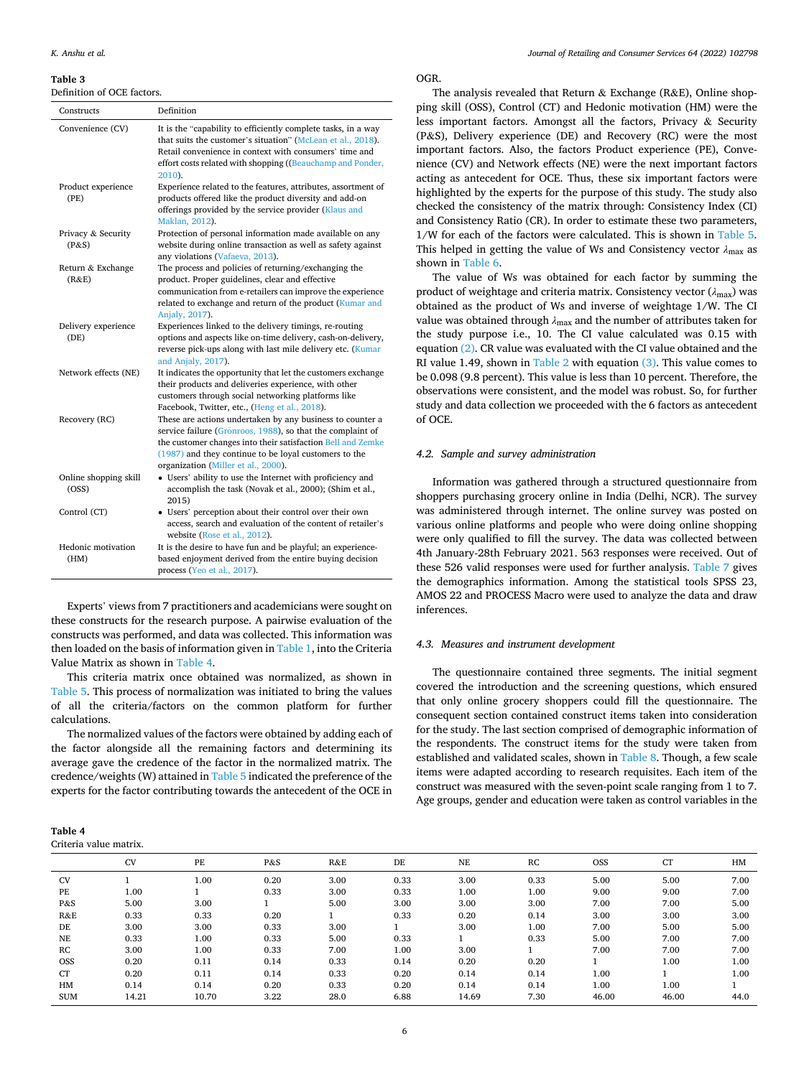#### <span id="page-5-0"></span>**Table 3**

Definition of OCE factors.

| Constructs                     | Definition                                                                                                                                                                                                                                                                             |
|--------------------------------|----------------------------------------------------------------------------------------------------------------------------------------------------------------------------------------------------------------------------------------------------------------------------------------|
| Convenience (CV)               | It is the "capability to efficiently complete tasks, in a way<br>that suits the customer's situation" (McLean et al., 2018).<br>Retail convenience in context with consumers' time and<br>effort costs related with shopping ((Beauchamp and Ponder,<br>2010).                         |
| Product experience<br>(PE)     | Experience related to the features, attributes, assortment of<br>products offered like the product diversity and add-on<br>offerings provided by the service provider (Klaus and<br>Maklan, 2012).                                                                                     |
| Privacy & Security<br>(P&S)    | Protection of personal information made available on any<br>website during online transaction as well as safety against<br>any violations (Vafaeva, 2013).                                                                                                                             |
| Return & Exchange<br>(R&E)     | The process and policies of returning/exchanging the<br>product. Proper guidelines, clear and effective<br>communication from e-retailers can improve the experience<br>related to exchange and return of the product (Kumar and<br>Anjaly, 2017).                                     |
| Delivery experience<br>(DE)    | Experiences linked to the delivery timings, re-routing<br>options and aspects like on-time delivery, cash-on-delivery,<br>reverse pick-ups along with last mile delivery etc. (Kumar<br>and Anjaly, 2017).                                                                             |
| Network effects (NE)           | It indicates the opportunity that let the customers exchange<br>their products and deliveries experience, with other<br>customers through social networking platforms like<br>Facebook, Twitter, etc., (Heng et al., 2018).                                                            |
| Recovery (RC)                  | These are actions undertaken by any business to counter a<br>service failure (Grönroos, 1988), so that the complaint of<br>the customer changes into their satisfaction Bell and Zemke<br>(1987) and they continue to be loyal customers to the<br>organization (Miller et al., 2000). |
| Online shopping skill<br>(OSS) | • Users' ability to use the Internet with proficiency and<br>accomplish the task (Novak et al., 2000); (Shim et al.,<br>2015)                                                                                                                                                          |
| Control (CT)                   | • Users' perception about their control over their own<br>access, search and evaluation of the content of retailer's<br>website (Rose et al., 2012).                                                                                                                                   |
| Hedonic motivation<br>(HM)     | It is the desire to have fun and be playful; an experience-<br>based enjoyment derived from the entire buying decision<br>process (Yeo et al., 2017).                                                                                                                                  |

Experts' views from 7 practitioners and academicians were sought on these constructs for the research purpose. A pairwise evaluation of the constructs was performed, and data was collected. This information was then loaded on the basis of information given in [Table 1,](#page-2-0) into the Criteria Value Matrix as shown in Table 4.

This criteria matrix once obtained was normalized, as shown in [Table 5.](#page-6-0) This process of normalization was initiated to bring the values of all the criteria/factors on the common platform for further calculations.

The normalized values of the factors were obtained by adding each of the factor alongside all the remaining factors and determining its average gave the credence of the factor in the normalized matrix. The credence/weights (W) attained in [Table 5](#page-6-0) indicated the preference of the experts for the factor contributing towards the antecedent of the OCE in

| Table 4                |
|------------------------|
| Criteria value matrix. |

OGR.

The analysis revealed that Return  $&$  Exchange (R&E), Online shopping skill (OSS), Control (CT) and Hedonic motivation (HM) were the less important factors. Amongst all the factors, Privacy & Security (P&S), Delivery experience (DE) and Recovery (RC) were the most important factors. Also, the factors Product experience (PE), Convenience (CV) and Network effects (NE) were the next important factors acting as antecedent for OCE. Thus, these six important factors were highlighted by the experts for the purpose of this study. The study also checked the consistency of the matrix through: Consistency Index (CI) and Consistency Ratio (CR). In order to estimate these two parameters, 1/W for each of the factors were calculated. This is shown in [Table 5](#page-6-0). This helped in getting the value of Ws and Consistency vector *λ*max as shown in [Table 6.](#page-6-0)

The value of Ws was obtained for each factor by summing the product of weightage and criteria matrix. Consistency vector  $(\lambda_{\text{max}})$  was obtained as the product of Ws and inverse of weightage 1/W. The CI value was obtained through  $\lambda_{\text{max}}$  and the number of attributes taken for the study purpose i.e., 10. The CI value calculated was 0.15 with equation [\(2\).](#page-2-0) CR value was evaluated with the CI value obtained and the RI value 1.49, shown in [Table 2](#page-3-0) with equation [\(3\)](#page-2-0). This value comes to be 0.098 (9.8 percent). This value is less than 10 percent. Therefore, the observations were consistent, and the model was robust. So, for further study and data collection we proceeded with the 6 factors as antecedent of OCE.

## *4.2. Sample and survey administration*

Information was gathered through a structured questionnaire from shoppers purchasing grocery online in India (Delhi, NCR). The survey was administered through internet. The online survey was posted on various online platforms and people who were doing online shopping were only qualified to fill the survey. The data was collected between 4th January-28th February 2021. 563 responses were received. Out of these 526 valid responses were used for further analysis. [Table 7](#page-7-0) gives the demographics information. Among the statistical tools SPSS 23, AMOS 22 and PROCESS Macro were used to analyze the data and draw inferences.

#### *4.3. Measures and instrument development*

The questionnaire contained three segments. The initial segment covered the introduction and the screening questions, which ensured that only online grocery shoppers could fill the questionnaire. The consequent section contained construct items taken into consideration for the study. The last section comprised of demographic information of the respondents. The construct items for the study were taken from established and validated scales, shown in [Table 8](#page-7-0). Though, a few scale items were adapted according to research requisites. Each item of the construct was measured with the seven-point scale ranging from 1 to 7. Age groups, gender and education were taken as control variables in the

|            | <b>CV</b> | PE    | P&S  | R&E  | DE   | <b>NE</b> | RC       | <b>OSS</b> | <b>CT</b> | HM   |
|------------|-----------|-------|------|------|------|-----------|----------|------------|-----------|------|
| <b>CV</b>  |           | 1.00  | 0.20 | 3.00 | 0.33 | 3.00      | 0.33     | 5.00       | 5.00      | 7.00 |
| PE         | 1.00      |       | 0.33 | 3.00 | 0.33 | 1.00      | $1.00\,$ | 9.00       | 9.00      | 7.00 |
| P&S        | 5.00      | 3.00  |      | 5.00 | 3.00 | 3.00      | 3.00     | 7.00       | 7.00      | 5.00 |
| R&E        | 0.33      | 0.33  | 0.20 |      | 0.33 | 0.20      | 0.14     | 3.00       | 3.00      | 3.00 |
| DE         | 3.00      | 3.00  | 0.33 | 3.00 |      | 3.00      | $1.00\,$ | 7.00       | 5.00      | 5.00 |
| <b>NE</b>  | 0.33      | 1.00  | 0.33 | 5.00 | 0.33 |           | 0.33     | 5.00       | 7.00      | 7.00 |
| RC         | 3.00      | 1.00  | 0.33 | 7.00 | 1.00 | 3.00      |          | 7.00       | 7.00      | 7.00 |
| <b>OSS</b> | 0.20      | 0.11  | 0.14 | 0.33 | 0.14 | 0.20      | 0.20     |            | 1.00      | 1.00 |
| CT         | 0.20      | 0.11  | 0.14 | 0.33 | 0.20 | 0.14      | 0.14     | 1.00       |           | 1.00 |
| HM         | 0.14      | 0.14  | 0.20 | 0.33 | 0.20 | 0.14      | 0.14     | 1.00       | 1.00      |      |
| <b>SUM</b> | 14.21     | 10.70 | 3.22 | 28.0 | 6.88 | 14.69     | 7.30     | 46.00      | 46.00     | 44.0 |
|            |           |       |      |      |      |           |          |            |           |      |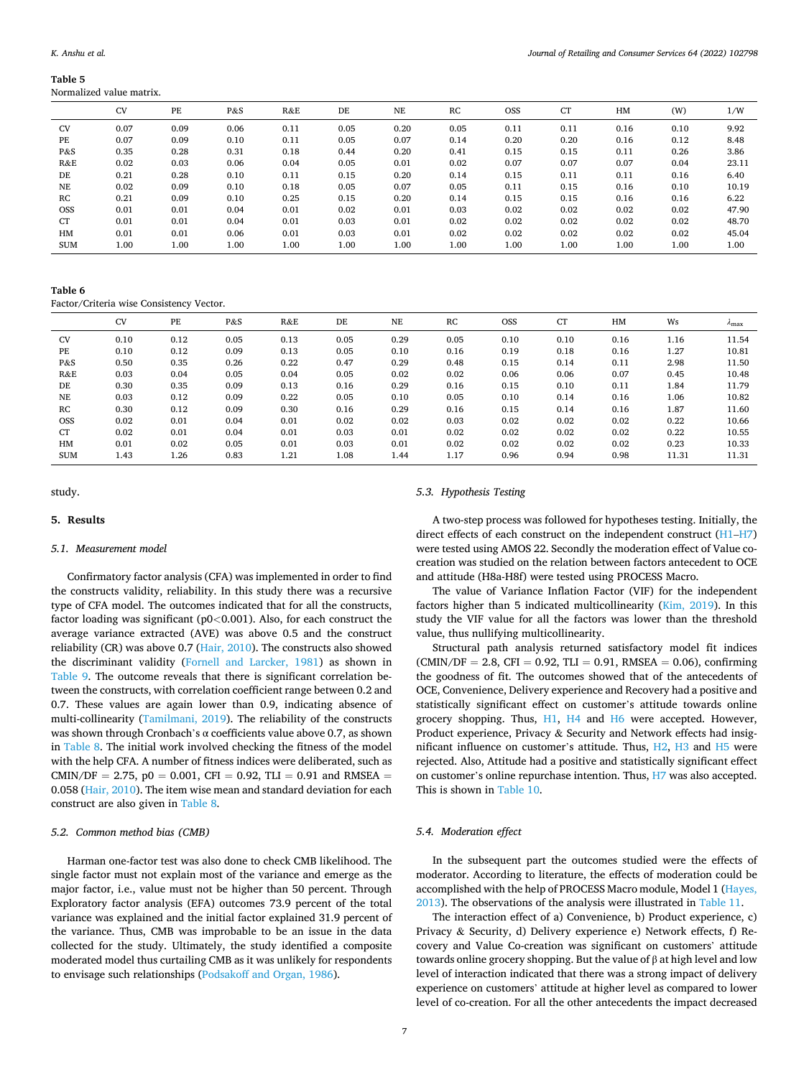#### <span id="page-6-0"></span>**Table 5**  Normalized value matrix.

|            | <b>CV</b> | PE   | P&S  | R&E  | DE   | NE   | RC       | <b>OSS</b> | <b>CT</b> | HM   | (W)  | 1/W   |
|------------|-----------|------|------|------|------|------|----------|------------|-----------|------|------|-------|
| <b>CV</b>  | 0.07      | 0.09 | 0.06 | 0.11 | 0.05 | 0.20 | 0.05     | 0.11       | 0.11      | 0.16 | 0.10 | 9.92  |
| PE         | 0.07      | 0.09 | 0.10 | 0.11 | 0.05 | 0.07 | 0.14     | 0.20       | 0.20      | 0.16 | 0.12 | 8.48  |
| P&S        | 0.35      | 0.28 | 0.31 | 0.18 | 0.44 | 0.20 | 0.41     | 0.15       | 0.15      | 0.11 | 0.26 | 3.86  |
| R&E        | 0.02      | 0.03 | 0.06 | 0.04 | 0.05 | 0.01 | 0.02     | 0.07       | 0.07      | 0.07 | 0.04 | 23.11 |
| DE         | 0.21      | 0.28 | 0.10 | 0.11 | 0.15 | 0.20 | 0.14     | 0.15       | 0.11      | 0.11 | 0.16 | 6.40  |
| <b>NE</b>  | 0.02      | 0.09 | 0.10 | 0.18 | 0.05 | 0.07 | 0.05     | 0.11       | 0.15      | 0.16 | 0.10 | 10.19 |
| RC         | 0.21      | 0.09 | 0.10 | 0.25 | 0.15 | 0.20 | 0.14     | 0.15       | 0.15      | 0.16 | 0.16 | 6.22  |
| <b>OSS</b> | 0.01      | 0.01 | 0.04 | 0.01 | 0.02 | 0.01 | 0.03     | 0.02       | 0.02      | 0.02 | 0.02 | 47.90 |
| <b>CT</b>  | 0.01      | 0.01 | 0.04 | 0.01 | 0.03 | 0.01 | 0.02     | 0.02       | 0.02      | 0.02 | 0.02 | 48.70 |
| HM         | 0.01      | 0.01 | 0.06 | 0.01 | 0.03 | 0.01 | 0.02     | 0.02       | 0.02      | 0.02 | 0.02 | 45.04 |
| <b>SUM</b> | 1.00      | 1.00 | 1.00 | 1.00 | 1.00 | 1.00 | $1.00\,$ | 1.00       | 1.00      | 1.00 | 1.00 | 1.00  |
|            |           |      |      |      |      |      |          |            |           |      |      |       |

**Table 6** 

Factor/Criteria wise Consistency Vector.

|            | <b>CV</b> | PE   | P&S  | R&E  | DE   | NE   | RC   | <b>OSS</b> | <b>CT</b> | HM   | Ws    | $\lambda_{\rm max}$ |
|------------|-----------|------|------|------|------|------|------|------------|-----------|------|-------|---------------------|
| <b>CV</b>  | 0.10      | 0.12 | 0.05 | 0.13 | 0.05 | 0.29 | 0.05 | 0.10       | 0.10      | 0.16 | 1.16  | 11.54               |
| PE         | 0.10      | 0.12 | 0.09 | 0.13 | 0.05 | 0.10 | 0.16 | 0.19       | 0.18      | 0.16 | 1.27  | 10.81               |
| P&S        | 0.50      | 0.35 | 0.26 | 0.22 | 0.47 | 0.29 | 0.48 | 0.15       | 0.14      | 0.11 | 2.98  | 11.50               |
| R&E        | 0.03      | 0.04 | 0.05 | 0.04 | 0.05 | 0.02 | 0.02 | 0.06       | 0.06      | 0.07 | 0.45  | 10.48               |
| DE         | 0.30      | 0.35 | 0.09 | 0.13 | 0.16 | 0.29 | 0.16 | 0.15       | 0.10      | 0.11 | 1.84  | 11.79               |
| <b>NE</b>  | 0.03      | 0.12 | 0.09 | 0.22 | 0.05 | 0.10 | 0.05 | 0.10       | 0.14      | 0.16 | 1.06  | 10.82               |
| RC         | 0.30      | 0.12 | 0.09 | 0.30 | 0.16 | 0.29 | 0.16 | 0.15       | 0.14      | 0.16 | 1.87  | 11.60               |
| <b>OSS</b> | 0.02      | 0.01 | 0.04 | 0.01 | 0.02 | 0.02 | 0.03 | 0.02       | 0.02      | 0.02 | 0.22  | 10.66               |
| <b>CT</b>  | 0.02      | 0.01 | 0.04 | 0.01 | 0.03 | 0.01 | 0.02 | 0.02       | 0.02      | 0.02 | 0.22  | 10.55               |
| HM         | 0.01      | 0.02 | 0.05 | 0.01 | 0.03 | 0.01 | 0.02 | 0.02       | 0.02      | 0.02 | 0.23  | 10.33               |
| <b>SUM</b> | 1.43      | 1.26 | 0.83 | 1.21 | 1.08 | 1.44 | 1.17 | 0.96       | 0.94      | 0.98 | 11.31 | 11.31               |

#### study.

# **5. Results**

## *5.1. Measurement model*

Confirmatory factor analysis (CFA) was implemented in order to find the constructs validity, reliability. In this study there was a recursive type of CFA model. The outcomes indicated that for all the constructs, factor loading was significant (p0*<*0.001). Also, for each construct the average variance extracted (AVE) was above 0.5 and the construct reliability (CR) was above 0.7 [\(Hair, 2010](#page-11-0)). The constructs also showed the discriminant validity ([Fornell and Larcker, 1981\)](#page-11-0) as shown in [Table 9.](#page-8-0) The outcome reveals that there is significant correlation between the constructs, with correlation coefficient range between 0.2 and 0.7. These values are again lower than 0.9, indicating absence of multi-collinearity [\(Tamilmani, 2019\)](#page-12-0). The reliability of the constructs was shown through Cronbach's α coefficients value above 0.7, as shown in [Table 8.](#page-7-0) The initial work involved checking the fitness of the model with the help CFA. A number of fitness indices were deliberated, such as CMIN/DF = 2.75,  $p0 = 0.001$ , CFI = 0.92, TLI = 0.91 and RMSEA = 0.058 ([Hair, 2010](#page-11-0)). The item wise mean and standard deviation for each construct are also given in [Table 8.](#page-7-0)

# *5.2. Common method bias (CMB)*

Harman one-factor test was also done to check CMB likelihood. The single factor must not explain most of the variance and emerge as the major factor, i.e., value must not be higher than 50 percent. Through Exploratory factor analysis (EFA) outcomes 73.9 percent of the total variance was explained and the initial factor explained 31.9 percent of the variance. Thus, CMB was improbable to be an issue in the data collected for the study. Ultimately, the study identified a composite moderated model thus curtailing CMB as it was unlikely for respondents to envisage such relationships ([Podsakoff and Organ, 1986](#page-12-0)).

#### *5.3. Hypothesis Testing*

A two-step process was followed for hypotheses testing. Initially, the direct effects of each construct on the independent construct ([H1](#page-3-0)–[H7\)](#page-4-0) were tested using AMOS 22. Secondly the moderation effect of Value cocreation was studied on the relation between factors antecedent to OCE and attitude (H8a-H8f) were tested using PROCESS Macro.

The value of Variance Inflation Factor (VIF) for the independent factors higher than 5 indicated multicollinearity [\(Kim, 2019\)](#page-11-0). In this study the VIF value for all the factors was lower than the threshold value, thus nullifying multicollinearity.

Structural path analysis returned satisfactory model fit indices  $(CMIN/DF = 2.8, CFI = 0.92, TLI = 0.91, RMSEA = 0.06$ , confirming the goodness of fit. The outcomes showed that of the antecedents of OCE, Convenience, Delivery experience and Recovery had a positive and statistically significant effect on customer's attitude towards online grocery shopping. Thus, [H1,](#page-3-0) [H4](#page-3-0) and [H6](#page-3-0) were accepted. However, Product experience, Privacy & Security and Network effects had insignificant influence on customer's attitude. Thus, [H2,](#page-3-0) [H3](#page-3-0) and [H5](#page-3-0) were rejected. Also, Attitude had a positive and statistically significant effect on customer's online repurchase intention. Thus, [H7](#page-4-0) was also accepted. This is shown in [Table 10](#page-8-0).

## *5.4. Moderation effect*

In the subsequent part the outcomes studied were the effects of moderator. According to literature, the effects of moderation could be accomplished with the help of PROCESS Macro module, Model 1 [\(Hayes,](#page-11-0)  [2013\)](#page-11-0). The observations of the analysis were illustrated in [Table 11.](#page-8-0)

The interaction effect of a) Convenience, b) Product experience, c) Privacy & Security, d) Delivery experience e) Network effects, f) Recovery and Value Co-creation was significant on customers' attitude towards online grocery shopping. But the value of β at high level and low level of interaction indicated that there was a strong impact of delivery experience on customers' attitude at higher level as compared to lower level of co-creation. For all the other antecedents the impact decreased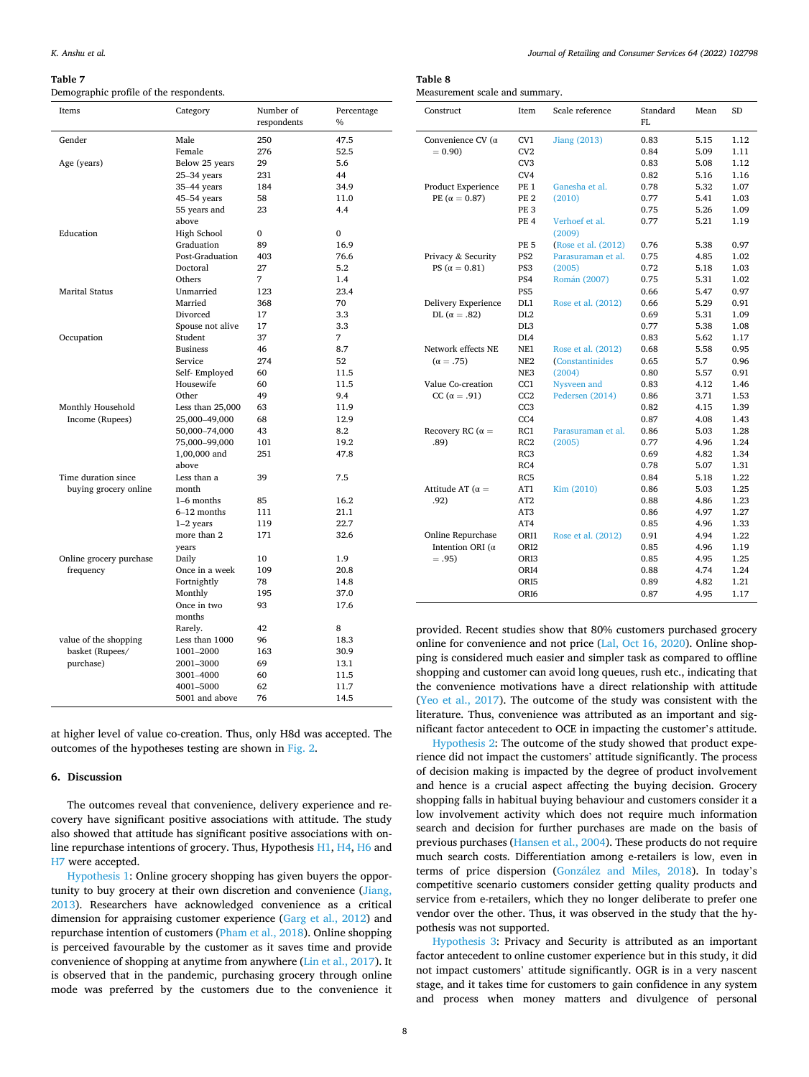#### <span id="page-7-0"></span>**Table 7**

Demographic profile of the respondents.

Mean SD

| Table 8 |  |
|---------|--|
|         |  |

Measurement scale and summary.

Construct Item Scale reference Standard

| Items                   | Category                     | Number of<br>respondents | Percentage<br>$\frac{0}{0}$ |
|-------------------------|------------------------------|--------------------------|-----------------------------|
|                         |                              |                          |                             |
| Gender                  | Male                         | 250                      | 47.5<br>52.5                |
|                         | Female                       | 276                      |                             |
| Age (years)             | Below 25 years               | 29                       | 5.6<br>44                   |
|                         | $25-34$ years<br>35-44 years | 231<br>184               | 34.9                        |
|                         | 45-54 years                  | 58                       | 11.0                        |
|                         | 55 years and                 | 23                       | 4.4                         |
|                         | above                        |                          |                             |
| Education               | High School                  | $\Omega$                 | $\Omega$                    |
|                         | Graduation                   | 89                       | 16.9                        |
|                         | Post-Graduation              | 403                      | 76.6                        |
|                         | Doctoral                     | 27                       | 5.2                         |
|                         | Others                       | 7                        | 1.4                         |
| Marital Status          | Unmarried                    | 123                      | 23.4                        |
|                         | Married                      | 368                      | 70                          |
|                         | Divorced                     | 17                       | 3.3                         |
|                         | Spouse not alive             | 17                       | 3.3                         |
| Occupation              | Student                      | 37                       | 7                           |
|                         | <b>Business</b>              | 46                       | 8.7                         |
|                         | Service                      | 274                      | 52                          |
|                         | Self-Employed                | 60                       | 11.5                        |
|                         | Housewife                    | 60                       | 11.5                        |
|                         | Other                        | 49                       | 9.4                         |
| Monthly Household       | Less than $25,000$           | 63                       | 11.9                        |
| Income (Rupees)         | 25,000-49,000                | 68                       | 12.9                        |
|                         | 50,000-74,000                | 43                       | 8.2                         |
|                         | 75,000-99,000                | 101                      | 19.2                        |
|                         | 1,00,000 and<br>above        | 251                      | 47.8                        |
| Time duration since     | Less than a                  | 39                       | 7.5                         |
| buying grocery online   | month                        |                          |                             |
|                         | $1-6$ months                 | 85                       | 16.2                        |
|                         | 6-12 months                  | 111                      | 21.1                        |
|                         | $1-2$ years                  | 119                      | 22.7                        |
|                         | more than 2<br>years         | 171                      | 32.6                        |
| Online grocery purchase | Daily                        | 10                       | 1.9                         |
| frequency               | Once in a week               | 109                      | 20.8                        |
|                         | Fortnightly                  | 78                       | 14.8                        |
|                         | Monthly                      | 195                      | 37.0                        |
|                         | Once in two<br>months        | 93                       | 17.6                        |
|                         | Rarely.                      | 42                       | 8                           |
| value of the shopping   | Less than 1000               | 96                       | 18.3                        |
| basket (Rupees/         | 1001-2000                    | 163                      | 30.9                        |
| purchase)               | 2001-3000                    | 69                       | 13.1                        |
|                         | 3001-4000                    | 60                       | 11.5                        |
|                         | 4001-5000                    | 62                       | 11.7                        |
|                         | 5001 and above               | 76                       | 14.5                        |

at higher level of value co-creation. Thus, only H8d was accepted. The outcomes of the hypotheses testing are shown in [Fig. 2.](#page-9-0)

## **6. Discussion**

The outcomes reveal that convenience, delivery experience and recovery have significant positive associations with attitude. The study also showed that attitude has significant positive associations with online repurchase intentions of grocery. Thus, Hypothesis [H1, H4, H6](#page-3-0) and [H7](#page-4-0) were accepted.

[Hypothesis 1](#page-3-0): Online grocery shopping has given buyers the opportunity to buy grocery at their own discretion and convenience [\(Jiang,](#page-11-0)  [2013\)](#page-11-0). Researchers have acknowledged convenience as a critical dimension for appraising customer experience ([Garg et al., 2012\)](#page-11-0) and repurchase intention of customers ([Pham et al., 2018\)](#page-12-0). Online shopping is perceived favourable by the customer as it saves time and provide convenience of shopping at anytime from anywhere ([Lin et al., 2017](#page-11-0)). It is observed that in the pandemic, purchasing grocery through online mode was preferred by the customers due to the convenience it

|                           |                  |                              | FI.  |      |      |
|---------------------------|------------------|------------------------------|------|------|------|
| Convenience CV ( $\alpha$ | CV1              | <b>Jiang (2013)</b>          | 0.83 | 5.15 | 1.12 |
| $= 0.90$                  | CV2              |                              | 0.84 | 5.09 | 1.11 |
|                           | CV <sub>3</sub>  |                              | 0.83 | 5.08 | 1.12 |
|                           | CV4              |                              | 0.82 | 5.16 | 1.16 |
| Product Experience        | PE <sub>1</sub>  | Ganesha et al.               | 0.78 | 5.32 | 1.07 |
| PE $(\alpha = 0.87)$      | PE <sub>2</sub>  | (2010)                       | 0.77 | 5.41 | 1.03 |
|                           | PE <sub>3</sub>  |                              | 0.75 | 5.26 | 1.09 |
|                           | <b>PF. 4</b>     | Verhoef et al.<br>(2009)     | 0.77 | 5.21 | 1.19 |
|                           | <b>PE 5</b>      | (Rose et al. (2012)          | 0.76 | 5.38 | 0.97 |
| Privacy & Security        | PS <sub>2</sub>  | Parasuraman et al.           | 0.75 | 4.85 | 1.02 |
| PS ( $\alpha = 0.81$ )    | PS3              | (2005)                       | 0.72 | 5.18 | 1.03 |
|                           | PS4              | Román (2007)                 | 0.75 | 5.31 | 1.02 |
|                           | PS <sub>5</sub>  |                              | 0.66 | 5.47 | 0.97 |
| Delivery Experience       | DL1              | Rose et al. (2012)           | 0.66 | 5.29 | 0.91 |
| DL ( $\alpha = .82$ )     | DL <sub>2</sub>  |                              | 0.69 | 5.31 | 1.09 |
|                           | DL <sub>3</sub>  |                              | 0.77 | 5.38 | 1.08 |
|                           | DL <sub>4</sub>  |                              | 0.83 | 5.62 | 1.17 |
| Network effects NE        | NE1              | Rose et al. (2012)           | 0.68 | 5.58 | 0.95 |
| $(\alpha = .75)$          | NE <sub>2</sub>  | <i><b>Constantinides</b></i> | 0.65 | 5.7  | 0.96 |
|                           | NE3              | (2004)                       | 0.80 | 5.57 | 0.91 |
| Value Co-creation         | CC1              | Nysveen and                  | 0.83 | 4.12 | 1.46 |
| CC ( $\alpha = .91$ )     | CC2              | Pedersen (2014)              | 0.86 | 3.71 | 1.53 |
|                           | CC <sub>3</sub>  |                              | 0.82 | 4.15 | 1.39 |
|                           | CC4              |                              | 0.87 | 4.08 | 1.43 |
| Recovery RC ( $\alpha =$  | RC1              | Parasuraman et al.           | 0.86 | 5.03 | 1.28 |
| .89)                      | RC2              | (2005)                       | 0.77 | 4.96 | 1.24 |
|                           | RC3              |                              | 0.69 | 4.82 | 1.34 |
|                           | RC4              |                              | 0.78 | 5.07 | 1.31 |
|                           | RC5              |                              | 0.84 | 5.18 | 1.22 |
| Attitude AT ( $\alpha =$  | AT1              | Kim (2010)                   | 0.86 | 5.03 | 1.25 |
| .92)                      | AT2              |                              | 0.88 | 4.86 | 1.23 |
|                           | AT <sub>3</sub>  |                              | 0.86 | 4.97 | 1.27 |
|                           | AT4              |                              | 0.85 | 4.96 | 1.33 |
| Online Repurchase         | OR <sub>I1</sub> | Rose et al. (2012)           | 0.91 | 4.94 | 1.22 |
| Intention ORI ( $\alpha$  | ORI <sub>2</sub> |                              | 0.85 | 4.96 | 1.19 |
| $=.95)$                   | ORI <sub>3</sub> |                              | 0.85 | 4.95 | 1.25 |
|                           | ORI4             |                              | 0.88 | 4.74 | 1.24 |
|                           | ORI5             |                              | 0.89 | 4.82 | 1.21 |
|                           | ORI6             |                              | 0.87 | 4.95 | 1.17 |

provided. Recent studies show that 80% customers purchased grocery online for convenience and not price ([Lal, Oct 16, 2020\)](#page-11-0). Online shopping is considered much easier and simpler task as compared to offline shopping and customer can avoid long queues, rush etc., indicating that the convenience motivations have a direct relationship with attitude ([Yeo et al., 2017\)](#page-12-0). The outcome of the study was consistent with the literature. Thus, convenience was attributed as an important and significant factor antecedent to OCE in impacting the customer's attitude.

[Hypothesis 2](#page-3-0): The outcome of the study showed that product experience did not impact the customers' attitude significantly. The process of decision making is impacted by the degree of product involvement and hence is a crucial aspect affecting the buying decision. Grocery shopping falls in habitual buying behaviour and customers consider it a low involvement activity which does not require much information search and decision for further purchases are made on the basis of previous purchases [\(Hansen et al., 2004\)](#page-11-0). These products do not require much search costs. Differentiation among e-retailers is low, even in terms of price dispersion (González and Miles, 2018). In today's competitive scenario customers consider getting quality products and service from e-retailers, which they no longer deliberate to prefer one vendor over the other. Thus, it was observed in the study that the hypothesis was not supported.

[Hypothesis 3:](#page-3-0) Privacy and Security is attributed as an important factor antecedent to online customer experience but in this study, it did not impact customers' attitude significantly. OGR is in a very nascent stage, and it takes time for customers to gain confidence in any system and process when money matters and divulgence of personal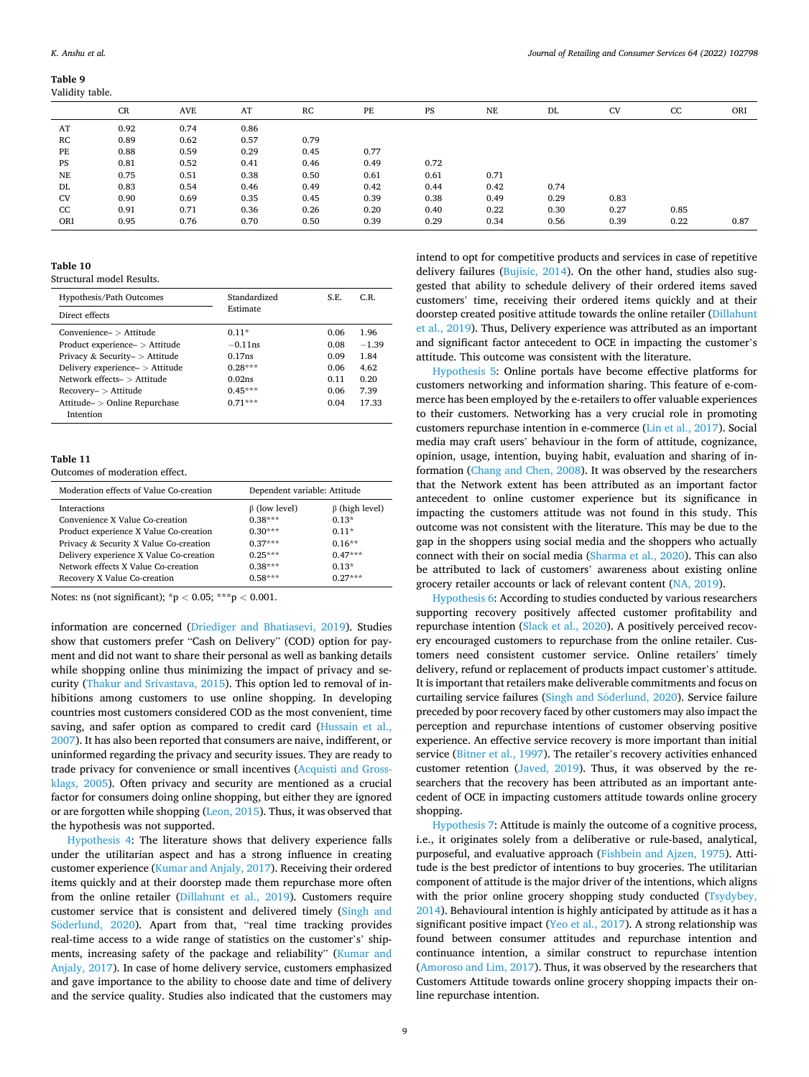#### <span id="page-8-0"></span>**Table 9**  Validity table.

|           | CR   | <b>AVE</b> | AT   | RC   | PE   | PS   | <b>NE</b> | DL   | <b>CV</b> | CC   | ORI  |
|-----------|------|------------|------|------|------|------|-----------|------|-----------|------|------|
| AT        | 0.92 | 0.74       | 0.86 |      |      |      |           |      |           |      |      |
| RC        | 0.89 | 0.62       | 0.57 | 0.79 |      |      |           |      |           |      |      |
| PE        | 0.88 | 0.59       | 0.29 | 0.45 | 0.77 |      |           |      |           |      |      |
| PS        | 0.81 | 0.52       | 0.41 | 0.46 | 0.49 | 0.72 |           |      |           |      |      |
| NE        | 0.75 | 0.51       | 0.38 | 0.50 | 0.61 | 0.61 | 0.71      |      |           |      |      |
| DL        | 0.83 | 0.54       | 0.46 | 0.49 | 0.42 | 0.44 | 0.42      | 0.74 |           |      |      |
| <b>CV</b> | 0.90 | 0.69       | 0.35 | 0.45 | 0.39 | 0.38 | 0.49      | 0.29 | 0.83      |      |      |
| CC        | 0.91 | 0.71       | 0.36 | 0.26 | 0.20 | 0.40 | 0.22      | 0.30 | 0.27      | 0.85 |      |
| ORI       | 0.95 | 0.76       | 0.70 | 0.50 | 0.39 | 0.29 | 0.34      | 0.56 | 0.39      | 0.22 | 0.87 |

# **Table 10**

Structural model Results.

| Hypothesis/Path Outcomes        | Standardized | S.E. | C.R.    |
|---------------------------------|--------------|------|---------|
| Direct effects                  | Estimate     |      |         |
| $Convenienter$ e > Attitude     | $0.11*$      | 0.06 | 1.96    |
| Product experience- > Attitude  | $-0.11$ ns   | 0.08 | $-1.39$ |
| Privacy & Security- > Attitude  | 0.17ns       | 0.09 | 1.84    |
| Delivery experience- > Attitude | $0.28***$    | 0.06 | 4.62    |
| Network effects $\sim$ Attitude | 0.02ns       | 0.11 | 0.20    |
| $Recovery- > Attitude$          | $0.45***$    | 0.06 | 7.39    |
| Attitude- > Online Repurchase   | $0.71***$    | 0.04 | 17.33   |
| Intention                       |              |      |         |

## **Table 11**

Outcomes of moderation effect.

| Moderation effects of Value Co-creation | Dependent variable: Attitude |                      |
|-----------------------------------------|------------------------------|----------------------|
| <b>Interactions</b>                     | $\beta$ (low level)          | $\beta$ (high level) |
| Convenience X Value Co-creation         | $0.38***$                    | $0.13*$              |
| Product experience X Value Co-creation  | $0.30***$                    | $0.11*$              |
| Privacy & Security X Value Co-creation  | $0.37***$                    | $0.16**$             |
| Delivery experience X Value Co-creation | $0.25***$                    | $0.47***$            |
| Network effects X Value Co-creation     | $0.38***$                    | $0.13*$              |
| Recovery X Value Co-creation            | $0.58***$                    | $0.27***$            |

Notes: ns (not significant); \*p *<* 0.05; \*\*\*p *<* 0.001.

information are concerned ([Driediger and Bhatiasevi, 2019](#page-11-0)). Studies show that customers prefer "Cash on Delivery" (COD) option for payment and did not want to share their personal as well as banking details while shopping online thus minimizing the impact of privacy and security ([Thakur and Srivastava, 2015\)](#page-12-0). This option led to removal of inhibitions among customers to use online shopping. In developing countries most customers considered COD as the most convenient, time saving, and safer option as compared to credit card [\(Hussain et al.,](#page-11-0)  [2007\)](#page-11-0). It has also been reported that consumers are naive, indifferent, or uninformed regarding the privacy and security issues. They are ready to trade privacy for convenience or small incentives ([Acquisti and Gross](#page-11-0)[klags, 2005\)](#page-11-0). Often privacy and security are mentioned as a crucial factor for consumers doing online shopping, but either they are ignored or are forgotten while shopping [\(Leon, 2015](#page-11-0)). Thus, it was observed that the hypothesis was not supported.

[Hypothesis 4:](#page-3-0) The literature shows that delivery experience falls under the utilitarian aspect and has a strong influence in creating customer experience [\(Kumar and Anjaly, 2017\)](#page-11-0). Receiving their ordered items quickly and at their doorstep made them repurchase more often from the online retailer ([Dillahunt et al., 2019](#page-11-0)). Customers require customer service that is consistent and delivered timely ([Singh and](#page-12-0)  Söderlund, 2020). Apart from that, "real time tracking provides real-time access to a wide range of statistics on the customer's' shipments, increasing safety of the package and reliability" [\(Kumar and](#page-11-0)  [Anjaly, 2017](#page-11-0)). In case of home delivery service, customers emphasized and gave importance to the ability to choose date and time of delivery and the service quality. Studies also indicated that the customers may

intend to opt for competitive products and services in case of repetitive delivery failures ([Bujisic, 2014](#page-11-0)). On the other hand, studies also suggested that ability to schedule delivery of their ordered items saved customers' time, receiving their ordered items quickly and at their doorstep created positive attitude towards the online retailer ([Dillahunt](#page-11-0)  [et al., 2019\)](#page-11-0). Thus, Delivery experience was attributed as an important and significant factor antecedent to OCE in impacting the customer's attitude. This outcome was consistent with the literature.

[Hypothesis 5](#page-3-0): Online portals have become effective platforms for customers networking and information sharing. This feature of e-commerce has been employed by the e-retailers to offer valuable experiences to their customers. Networking has a very crucial role in promoting customers repurchase intention in e-commerce [\(Lin et al., 2017](#page-11-0)). Social media may craft users' behaviour in the form of attitude, cognizance, opinion, usage, intention, buying habit, evaluation and sharing of information ([Chang and Chen, 2008\)](#page-11-0). It was observed by the researchers that the Network extent has been attributed as an important factor antecedent to online customer experience but its significance in impacting the customers attitude was not found in this study. This outcome was not consistent with the literature. This may be due to the gap in the shoppers using social media and the shoppers who actually connect with their on social media ([Sharma et al., 2020](#page-12-0)). This can also be attributed to lack of customers' awareness about existing online grocery retailer accounts or lack of relevant content ([NA, 2019](#page-12-0)).

[Hypothesis 6:](#page-3-0) According to studies conducted by various researchers supporting recovery positively affected customer profitability and repurchase intention [\(Slack et al., 2020\)](#page-12-0). A positively perceived recovery encouraged customers to repurchase from the online retailer. Customers need consistent customer service. Online retailers' timely delivery, refund or replacement of products impact customer's attitude. It is important that retailers make deliverable commitments and focus on curtailing service failures (Singh and Söderlund, 2020). Service failure preceded by poor recovery faced by other customers may also impact the perception and repurchase intentions of customer observing positive experience. An effective service recovery is more important than initial service [\(Bitner et al., 1997](#page-11-0)). The retailer's recovery activities enhanced customer retention ([Javed, 2019](#page-11-0)). Thus, it was observed by the researchers that the recovery has been attributed as an important antecedent of OCE in impacting customers attitude towards online grocery shopping.

[Hypothesis 7](#page-4-0): Attitude is mainly the outcome of a cognitive process, i.e., it originates solely from a deliberative or rule-based, analytical, purposeful, and evaluative approach ([Fishbein and Ajzen, 1975\)](#page-11-0). Attitude is the best predictor of intentions to buy groceries. The utilitarian component of attitude is the major driver of the intentions, which aligns with the prior online grocery shopping study conducted (Tsydybey, [2014\)](#page-12-0). Behavioural intention is highly anticipated by attitude as it has a significant positive impact ([Yeo et al., 2017](#page-12-0)). A strong relationship was found between consumer attitudes and repurchase intention and continuance intention, a similar construct to repurchase intention ([Amoroso and Lim, 2017\)](#page-11-0). Thus, it was observed by the researchers that Customers Attitude towards online grocery shopping impacts their online repurchase intention.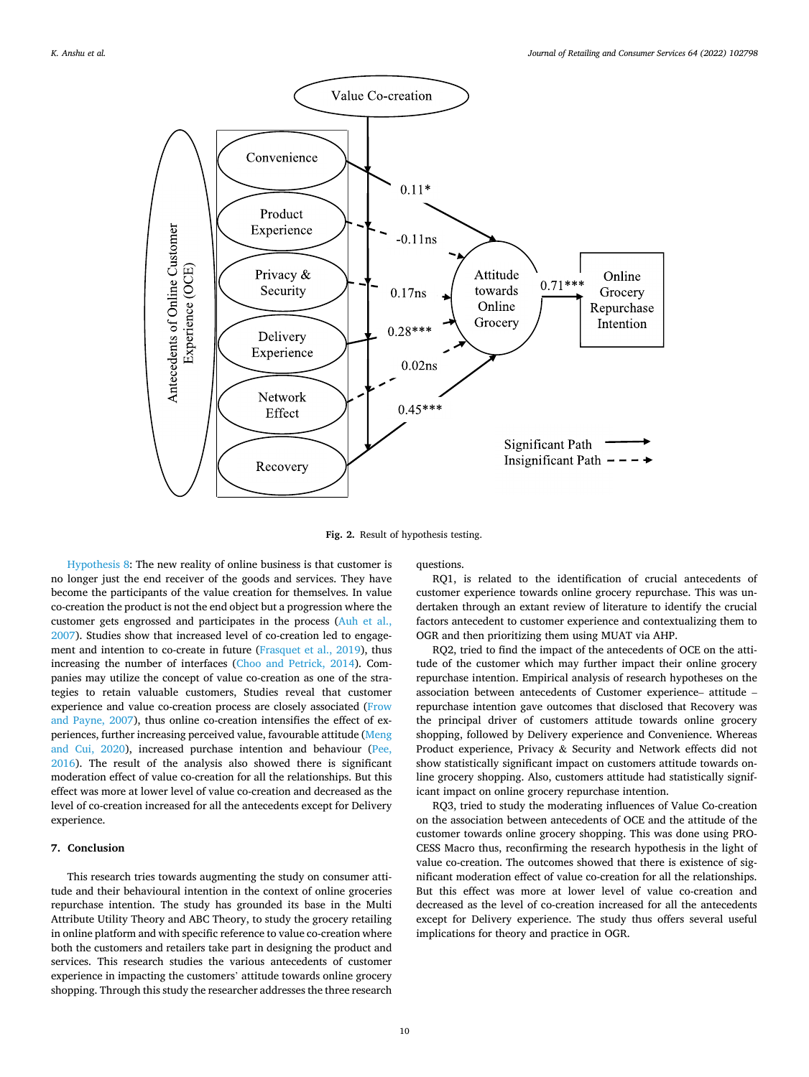<span id="page-9-0"></span>

**Fig. 2.** Result of hypothesis testing.

[Hypothesis 8](#page-4-0): The new reality of online business is that customer is no longer just the end receiver of the goods and services. They have become the participants of the value creation for themselves. In value co-creation the product is not the end object but a progression where the customer gets engrossed and participates in the process [\(Auh et al.,](#page-11-0)  [2007\)](#page-11-0). Studies show that increased level of co-creation led to engagement and intention to co-create in future [\(Frasquet et al., 2019\)](#page-11-0), thus increasing the number of interfaces [\(Choo and Petrick, 2014](#page-11-0)). Companies may utilize the concept of value co-creation as one of the strategies to retain valuable customers, Studies reveal that customer experience and value co-creation process are closely associated ([Frow](#page-11-0)  [and Payne, 2007](#page-11-0)), thus online co-creation intensifies the effect of experiences, further increasing perceived value, favourable attitude [\(Meng](#page-11-0)  [and Cui, 2020](#page-11-0)), increased purchase intention and behaviour ([Pee,](#page-12-0)  [2016\)](#page-12-0). The result of the analysis also showed there is significant moderation effect of value co-creation for all the relationships. But this effect was more at lower level of value co-creation and decreased as the level of co-creation increased for all the antecedents except for Delivery experience.

# **7. Conclusion**

This research tries towards augmenting the study on consumer attitude and their behavioural intention in the context of online groceries repurchase intention. The study has grounded its base in the Multi Attribute Utility Theory and ABC Theory, to study the grocery retailing in online platform and with specific reference to value co-creation where both the customers and retailers take part in designing the product and services. This research studies the various antecedents of customer experience in impacting the customers' attitude towards online grocery shopping. Through this study the researcher addresses the three research

questions.

RQ1, is related to the identification of crucial antecedents of customer experience towards online grocery repurchase. This was undertaken through an extant review of literature to identify the crucial factors antecedent to customer experience and contextualizing them to OGR and then prioritizing them using MUAT via AHP.

RQ2, tried to find the impact of the antecedents of OCE on the attitude of the customer which may further impact their online grocery repurchase intention. Empirical analysis of research hypotheses on the association between antecedents of Customer experience– attitude – repurchase intention gave outcomes that disclosed that Recovery was the principal driver of customers attitude towards online grocery shopping, followed by Delivery experience and Convenience. Whereas Product experience, Privacy & Security and Network effects did not show statistically significant impact on customers attitude towards online grocery shopping. Also, customers attitude had statistically significant impact on online grocery repurchase intention.

RQ3, tried to study the moderating influences of Value Co-creation on the association between antecedents of OCE and the attitude of the customer towards online grocery shopping. This was done using PRO-CESS Macro thus, reconfirming the research hypothesis in the light of value co-creation. The outcomes showed that there is existence of significant moderation effect of value co-creation for all the relationships. But this effect was more at lower level of value co-creation and decreased as the level of co-creation increased for all the antecedents except for Delivery experience. The study thus offers several useful implications for theory and practice in OGR.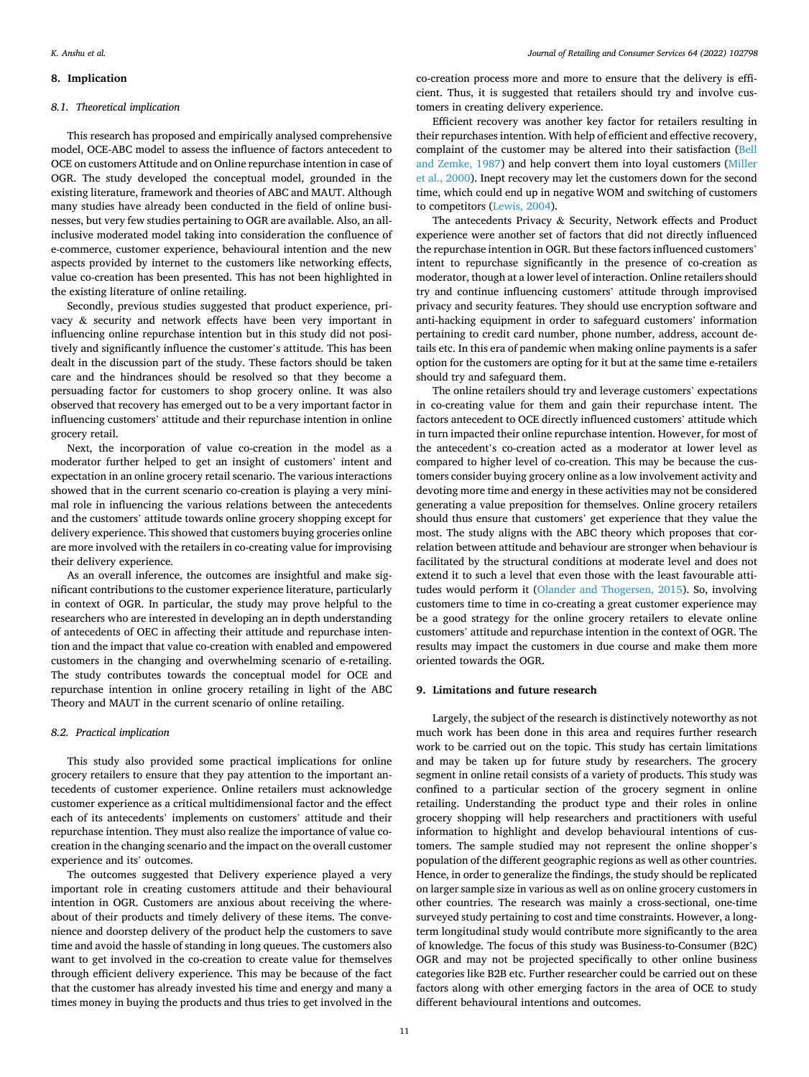# **8. Implication**

## *8.1. Theoretical implication*

This research has proposed and empirically analysed comprehensive model, OCE-ABC model to assess the influence of factors antecedent to OCE on customers Attitude and on Online repurchase intention in case of OGR. The study developed the conceptual model, grounded in the existing literature, framework and theories of ABC and MAUT. Although many studies have already been conducted in the field of online businesses, but very few studies pertaining to OGR are available. Also, an allinclusive moderated model taking into consideration the confluence of e-commerce, customer experience, behavioural intention and the new aspects provided by internet to the customers like networking effects, value co-creation has been presented. This has not been highlighted in the existing literature of online retailing.

Secondly, previous studies suggested that product experience, privacy & security and network effects have been very important in influencing online repurchase intention but in this study did not positively and significantly influence the customer's attitude. This has been dealt in the discussion part of the study. These factors should be taken care and the hindrances should be resolved so that they become a persuading factor for customers to shop grocery online. It was also observed that recovery has emerged out to be a very important factor in influencing customers' attitude and their repurchase intention in online grocery retail.

Next, the incorporation of value co-creation in the model as a moderator further helped to get an insight of customers' intent and expectation in an online grocery retail scenario. The various interactions showed that in the current scenario co-creation is playing a very minimal role in influencing the various relations between the antecedents and the customers' attitude towards online grocery shopping except for delivery experience. This showed that customers buying groceries online are more involved with the retailers in co-creating value for improvising their delivery experience.

As an overall inference, the outcomes are insightful and make significant contributions to the customer experience literature, particularly in context of OGR. In particular, the study may prove helpful to the researchers who are interested in developing an in depth understanding of antecedents of OEC in affecting their attitude and repurchase intention and the impact that value co-creation with enabled and empowered customers in the changing and overwhelming scenario of e-retailing. The study contributes towards the conceptual model for OCE and repurchase intention in online grocery retailing in light of the ABC Theory and MAUT in the current scenario of online retailing.

## *8.2. Practical implication*

This study also provided some practical implications for online grocery retailers to ensure that they pay attention to the important antecedents of customer experience. Online retailers must acknowledge customer experience as a critical multidimensional factor and the effect each of its antecedents' implements on customers' attitude and their repurchase intention. They must also realize the importance of value cocreation in the changing scenario and the impact on the overall customer experience and its' outcomes.

The outcomes suggested that Delivery experience played a very important role in creating customers attitude and their behavioural intention in OGR. Customers are anxious about receiving the whereabout of their products and timely delivery of these items. The convenience and doorstep delivery of the product help the customers to save time and avoid the hassle of standing in long queues. The customers also want to get involved in the co-creation to create value for themselves through efficient delivery experience. This may be because of the fact that the customer has already invested his time and energy and many a times money in buying the products and thus tries to get involved in the

co-creation process more and more to ensure that the delivery is efficient. Thus, it is suggested that retailers should try and involve customers in creating delivery experience.

Efficient recovery was another key factor for retailers resulting in their repurchases intention. With help of efficient and effective recovery, complaint of the customer may be altered into their satisfaction [\(Bell](#page-11-0)  [and Zemke, 1987\)](#page-11-0) and help convert them into loyal customers [\(Miller](#page-12-0)  [et al., 2000](#page-12-0)). Inept recovery may let the customers down for the second time, which could end up in negative WOM and switching of customers to competitors [\(Lewis, 2004\)](#page-11-0).

The antecedents Privacy & Security, Network effects and Product experience were another set of factors that did not directly influenced the repurchase intention in OGR. But these factors influenced customers' intent to repurchase significantly in the presence of co-creation as moderator, though at a lower level of interaction. Online retailers should try and continue influencing customers' attitude through improvised privacy and security features. They should use encryption software and anti-hacking equipment in order to safeguard customers' information pertaining to credit card number, phone number, address, account details etc. In this era of pandemic when making online payments is a safer option for the customers are opting for it but at the same time e-retailers should try and safeguard them.

The online retailers should try and leverage customers' expectations in co-creating value for them and gain their repurchase intent. The factors antecedent to OCE directly influenced customers' attitude which in turn impacted their online repurchase intention. However, for most of the antecedent's co-creation acted as a moderator at lower level as compared to higher level of co-creation. This may be because the customers consider buying grocery online as a low involvement activity and devoting more time and energy in these activities may not be considered generating a value preposition for themselves. Online grocery retailers should thus ensure that customers' get experience that they value the most. The study aligns with the ABC theory which proposes that correlation between attitude and behaviour are stronger when behaviour is facilitated by the structural conditions at moderate level and does not extend it to such a level that even those with the least favourable attitudes would perform it ([Olander and Thogersen, 2015\)](#page-12-0). So, involving customers time to time in co-creating a great customer experience may be a good strategy for the online grocery retailers to elevate online customers' attitude and repurchase intention in the context of OGR. The results may impact the customers in due course and make them more oriented towards the OGR.

## **9. Limitations and future research**

Largely, the subject of the research is distinctively noteworthy as not much work has been done in this area and requires further research work to be carried out on the topic. This study has certain limitations and may be taken up for future study by researchers. The grocery segment in online retail consists of a variety of products. This study was confined to a particular section of the grocery segment in online retailing. Understanding the product type and their roles in online grocery shopping will help researchers and practitioners with useful information to highlight and develop behavioural intentions of customers. The sample studied may not represent the online shopper's population of the different geographic regions as well as other countries. Hence, in order to generalize the findings, the study should be replicated on larger sample size in various as well as on online grocery customers in other countries. The research was mainly a cross-sectional, one-time surveyed study pertaining to cost and time constraints. However, a longterm longitudinal study would contribute more significantly to the area of knowledge. The focus of this study was Business-to-Consumer (B2C) OGR and may not be projected specifically to other online business categories like B2B etc. Further researcher could be carried out on these factors along with other emerging factors in the area of OCE to study different behavioural intentions and outcomes.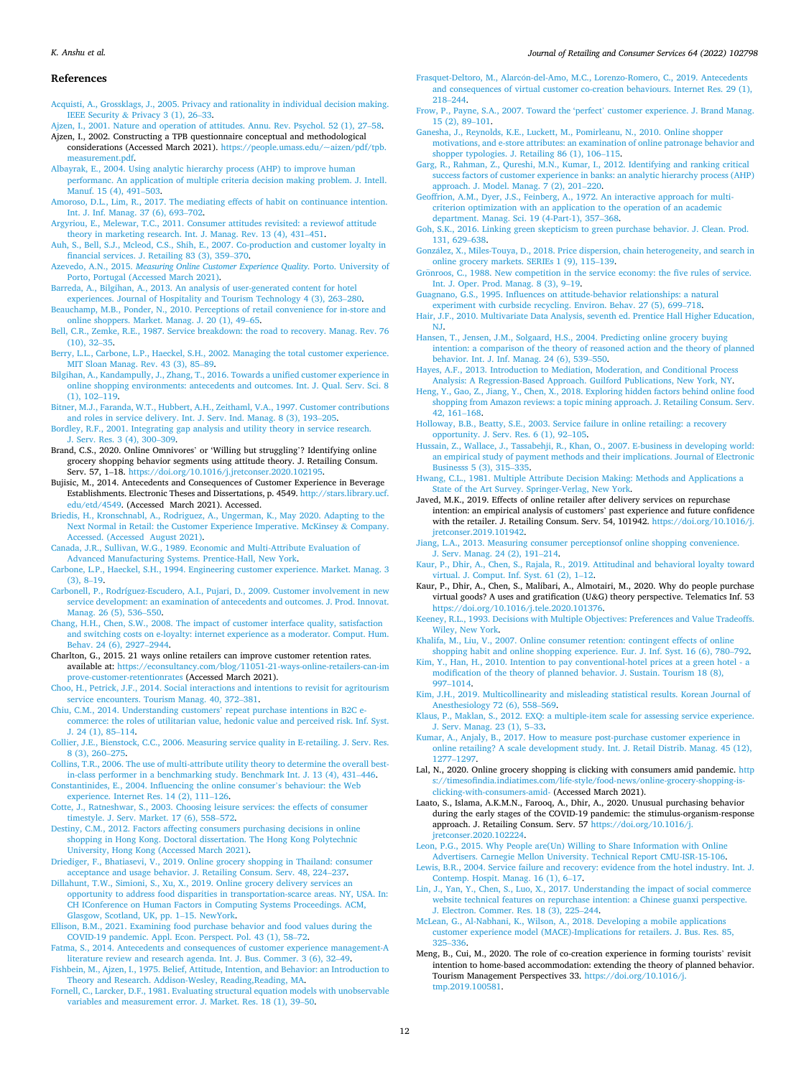## <span id="page-11-0"></span>*K. Anshu et al.*

#### *Journal of Retailing and Consumer Services 64 (2022) 102798*

## **References**

- [Acquisti, A., Grossklags, J., 2005. Privacy and rationality in individual decision making.](http://refhub.elsevier.com/S0969-6989(21)00364-7/sref1)  IEEE Security & [Privacy 3 \(1\), 26](http://refhub.elsevier.com/S0969-6989(21)00364-7/sref1)–33.
- [Ajzen, I., 2001. Nature and operation of attitudes. Annu. Rev. Psychol. 52 \(1\), 27](http://refhub.elsevier.com/S0969-6989(21)00364-7/sref2)–58. Ajzen, I., 2002. Constructing a TPB questionnaire conceptual and methodological
- considerations (Accessed March 2021). [https://people.umass.edu/~aizen/pdf/tpb.](https://people.umass.edu/%7Eaizen/pdf/tpb.measurement.pdf)  [measurement.pdf](https://people.umass.edu/%7Eaizen/pdf/tpb.measurement.pdf).
- [Albayrak, E., 2004. Using analytic hierarchy process \(AHP\) to improve human](http://refhub.elsevier.com/S0969-6989(21)00364-7/sref4)  [performanc. An application of multiple criteria decision making problem. J. Intell.](http://refhub.elsevier.com/S0969-6989(21)00364-7/sref4) [Manuf. 15 \(4\), 491](http://refhub.elsevier.com/S0969-6989(21)00364-7/sref4)–503.
- [Amoroso, D.L., Lim, R., 2017. The mediating effects of habit on continuance intention.](http://refhub.elsevier.com/S0969-6989(21)00364-7/sref5)  [Int. J. Inf. Manag. 37 \(6\), 693](http://refhub.elsevier.com/S0969-6989(21)00364-7/sref5)–702.
- [Argyriou, E., Melewar, T.C., 2011. Consumer attitudes revisited: a reviewof attitude](http://refhub.elsevier.com/S0969-6989(21)00364-7/sref6) [theory in marketing research. Int. J. Manag. Rev. 13 \(4\), 431](http://refhub.elsevier.com/S0969-6989(21)00364-7/sref6)–451.
- [Auh, S., Bell, S.J., Mcleod, C.S., Shih, E., 2007. Co-production and customer loyalty in](http://refhub.elsevier.com/S0969-6989(21)00364-7/sref7) [financial services. J. Retailing 83 \(3\), 359](http://refhub.elsevier.com/S0969-6989(21)00364-7/sref7)–370.
- Azevedo, A.N., 2015. *[Measuring Online Customer Experience Quality.](http://refhub.elsevier.com/S0969-6989(21)00364-7/sref8)* Porto. University of [Porto, Portugal \(Accessed March 2021\)](http://refhub.elsevier.com/S0969-6989(21)00364-7/sref8).
- [Barreda, A., Bilgihan, A., 2013. An analysis of user-generated content for hotel](http://refhub.elsevier.com/S0969-6989(21)00364-7/sref9)  [experiences. Journal of Hospitality and Tourism Technology 4 \(3\), 263](http://refhub.elsevier.com/S0969-6989(21)00364-7/sref9)–280.
- [Beauchamp, M.B., Ponder, N., 2010. Perceptions of retail convenience for in-store and](http://refhub.elsevier.com/S0969-6989(21)00364-7/sref10) [online shoppers. Market. Manag. J. 20 \(1\), 49](http://refhub.elsevier.com/S0969-6989(21)00364-7/sref10)–65.
- [Bell, C.R., Zemke, R.E., 1987. Service breakdown: the road to recovery. Manag. Rev. 76](http://refhub.elsevier.com/S0969-6989(21)00364-7/sref11)  [\(10\), 32](http://refhub.elsevier.com/S0969-6989(21)00364-7/sref11)–35.
- [Berry, L.L., Carbone, L.P., Haeckel, S.H., 2002. Managing the total customer experience.](http://refhub.elsevier.com/S0969-6989(21)00364-7/sref12)  [MIT Sloan Manag. Rev. 43 \(3\), 85](http://refhub.elsevier.com/S0969-6989(21)00364-7/sref12)–89.
- [Bilgihan, A., Kandampully, J., Zhang, T., 2016. Towards a unified customer experience in](http://refhub.elsevier.com/S0969-6989(21)00364-7/sref13)  [online shopping environments: antecedents and outcomes. Int. J. Qual. Serv. Sci. 8](http://refhub.elsevier.com/S0969-6989(21)00364-7/sref13) [\(1\), 102](http://refhub.elsevier.com/S0969-6989(21)00364-7/sref13)–119.
- [Bitner, M.J., Faranda, W.T., Hubbert, A.H., Zeithaml, V.A., 1997. Customer contributions](http://refhub.elsevier.com/S0969-6989(21)00364-7/sref14)  [and roles in service delivery. Int. J. Serv. Ind. Manag. 8 \(3\), 193](http://refhub.elsevier.com/S0969-6989(21)00364-7/sref14)–205.
- [Bordley, R.F., 2001. Integrating gap analysis and utility theory in service research.](http://refhub.elsevier.com/S0969-6989(21)00364-7/sref15)  [J. Serv. Res. 3 \(4\), 300](http://refhub.elsevier.com/S0969-6989(21)00364-7/sref15)–309.
- Brand, C.S., 2020. Online Omnivores' or 'Willing but struggling'? Identifying online grocery shopping behavior segments using attitude theory. J. Retailing Consum. Serv. 57, 1–18. <https://doi.org/10.1016/j.jretconser.2020.102195>.
- Bujisic, M., 2014. Antecedents and Consequences of Customer Experience in Beverage Establishments. Electronic Theses and Dissertations, p. 4549. [http://stars.library.ucf.](http://stars.library.ucf.edu/etd/4549)  [edu/etd/4549](http://stars.library.ucf.edu/etd/4549). (Accessed March 2021). Accessed.
- [Briedis, H., Kronschnabl, A., Rodriguez, A., Ungerman, K., May 2020. Adapting to the](http://refhub.elsevier.com/S0969-6989(21)00364-7/sref18) [Next Normal in Retail: the Customer Experience Imperative. McKinsey](http://refhub.elsevier.com/S0969-6989(21)00364-7/sref18) & Company. [Accessed. \(Accessed August 2021\).](http://refhub.elsevier.com/S0969-6989(21)00364-7/sref18)
- [Canada, J.R., Sullivan, W.G., 1989. Economic and Multi-Attribute Evaluation of](http://refhub.elsevier.com/S0969-6989(21)00364-7/sref19) [Advanced Manufacturing Systems. Prentice-Hall, New York.](http://refhub.elsevier.com/S0969-6989(21)00364-7/sref19)
- [Carbone, L.P., Haeckel, S.H., 1994. Engineering customer experience. Market. Manag. 3](http://refhub.elsevier.com/S0969-6989(21)00364-7/sref20)  [\(3\), 8](http://refhub.elsevier.com/S0969-6989(21)00364-7/sref20)–19.
- [Carbonell, P., Rodríguez-Escudero, A.I., Pujari, D., 2009. Customer involvement in new](http://refhub.elsevier.com/S0969-6989(21)00364-7/sref21)  [service development: an examination of antecedents and outcomes. J. Prod. Innovat.](http://refhub.elsevier.com/S0969-6989(21)00364-7/sref21)  [Manag. 26 \(5\), 536](http://refhub.elsevier.com/S0969-6989(21)00364-7/sref21)–550.
- [Chang, H.H., Chen, S.W., 2008. The impact of customer interface quality, satisfaction](http://refhub.elsevier.com/S0969-6989(21)00364-7/sref22)  [and switching costs on e-loyalty: internet experience as a moderator. Comput. Hum.](http://refhub.elsevier.com/S0969-6989(21)00364-7/sref22)  [Behav. 24 \(6\), 2927](http://refhub.elsevier.com/S0969-6989(21)00364-7/sref22)–2944.
- Charlton, G., 2015. 21 ways online retailers can improve customer retention rates. available at: [https://econsultancy.com/blog/11051-21-ways-online-retailers-can-im](https://econsultancy.com/blog/11051-21-ways-online-retailers-can-improve-customer-retentionrates)  [prove-customer-retentionrates](https://econsultancy.com/blog/11051-21-ways-online-retailers-can-improve-customer-retentionrates) (Accessed March 2021).
- [Choo, H., Petrick, J.F., 2014. Social interactions and intentions to revisit for agritourism](http://refhub.elsevier.com/S0969-6989(21)00364-7/sref24)  [service encounters. Tourism Manag. 40, 372](http://refhub.elsevier.com/S0969-6989(21)00364-7/sref24)–381.
- [Chiu, C.M., 2014. Understanding customers](http://refhub.elsevier.com/S0969-6989(21)00364-7/sref25)' repeat purchase intentions in B2C e[commerce: the roles of utilitarian value, hedonic value and perceived risk. Inf. Syst.](http://refhub.elsevier.com/S0969-6989(21)00364-7/sref25)  [J. 24 \(1\), 85](http://refhub.elsevier.com/S0969-6989(21)00364-7/sref25)–114.
- [Collier, J.E., Bienstock, C.C., 2006. Measuring service quality in E-retailing. J. Serv. Res.](http://refhub.elsevier.com/S0969-6989(21)00364-7/sref26)  [8 \(3\), 260](http://refhub.elsevier.com/S0969-6989(21)00364-7/sref26)–275.
- [Collins, T.R., 2006. The use of multi-attribute utility theory to determine the overall best](http://refhub.elsevier.com/S0969-6989(21)00364-7/sref27)[in-class performer in a benchmarking study. Benchmark Int. J. 13 \(4\), 431](http://refhub.elsevier.com/S0969-6989(21)00364-7/sref27)–446.
- [Constantinides, E., 2004. Influencing the online consumer](http://refhub.elsevier.com/S0969-6989(21)00364-7/sref28)'s behaviour: the Web [experience. Internet Res. 14 \(2\), 111](http://refhub.elsevier.com/S0969-6989(21)00364-7/sref28)–126.
- [Cotte, J., Ratneshwar, S., 2003. Choosing leisure services: the effects of consumer](http://refhub.elsevier.com/S0969-6989(21)00364-7/sref29)  [timestyle. J. Serv. Market. 17 \(6\), 558](http://refhub.elsevier.com/S0969-6989(21)00364-7/sref29)–572.
- [Destiny, C.M., 2012. Factors affecting consumers purchasing decisions in online](http://refhub.elsevier.com/S0969-6989(21)00364-7/sref30) [shopping in Hong Kong. Doctoral dissertation. The Hong Kong Polytechnic](http://refhub.elsevier.com/S0969-6989(21)00364-7/sref30) [University, Hong Kong \(Accessed March 2021\).](http://refhub.elsevier.com/S0969-6989(21)00364-7/sref30)
- [Driediger, F., Bhatiasevi, V., 2019. Online grocery shopping in Thailand: consumer](http://refhub.elsevier.com/S0969-6989(21)00364-7/sref31) [acceptance and usage behavior. J. Retailing Consum. Serv. 48, 224](http://refhub.elsevier.com/S0969-6989(21)00364-7/sref31)–237.
- [Dillahunt, T.W., Simioni, S., Xu, X., 2019. Online grocery delivery services an](http://refhub.elsevier.com/S0969-6989(21)00364-7/sref32)  [opportunity to address food disparities in transportation-scarce areas. NY, USA. In:](http://refhub.elsevier.com/S0969-6989(21)00364-7/sref32) [CH IConference on Human Factors in Computing Systems Proceedings. ACM,](http://refhub.elsevier.com/S0969-6989(21)00364-7/sref32)  [Glasgow, Scotland, UK, pp. 1](http://refhub.elsevier.com/S0969-6989(21)00364-7/sref32)–15. NewYork.
- [Ellison, B.M., 2021. Examining food purchase behavior and food values during the](http://refhub.elsevier.com/S0969-6989(21)00364-7/sref33)  [COVID-19 pandemic. Appl. Econ. Perspect. Pol. 43 \(1\), 58](http://refhub.elsevier.com/S0969-6989(21)00364-7/sref33)–72.
- [Fatma, S., 2014. Antecedents and consequences of customer experience management-A](http://refhub.elsevier.com/S0969-6989(21)00364-7/sref34) [literature review and research agenda. Int. J. Bus. Commer. 3 \(6\), 32](http://refhub.elsevier.com/S0969-6989(21)00364-7/sref34)–49.
- [Fishbein, M., Ajzen, I., 1975. Belief, Attitude, Intention, and Behavior: an Introduction to](http://refhub.elsevier.com/S0969-6989(21)00364-7/sref35)  Theory and Research. Addison-Wesley, Reading, Reading, MA.
- [Fornell, C., Larcker, D.F., 1981. Evaluating structural equation models with unobservable](http://refhub.elsevier.com/S0969-6989(21)00364-7/sref36)  [variables and measurement error. J. Market. Res. 18 \(1\), 39](http://refhub.elsevier.com/S0969-6989(21)00364-7/sref36)–50.
- Frasquet-Deltoro, M., Alarcón-del-Amo, M.C., Lorenzo-Romero, C., 2019. Antecedents [and consequences of virtual customer co-creation behaviours. Internet Res. 29 \(1\),](http://refhub.elsevier.com/S0969-6989(21)00364-7/sref37) 218–[244](http://refhub.elsevier.com/S0969-6989(21)00364-7/sref37).
- [Frow, P., Payne, S.A., 2007. Toward the 'perfect](http://refhub.elsevier.com/S0969-6989(21)00364-7/sref38)' customer experience. J. Brand Manag. [15 \(2\), 89](http://refhub.elsevier.com/S0969-6989(21)00364-7/sref38)–101.
- [Ganesha, J., Reynolds, K.E., Luckett, M., Pomirleanu, N., 2010. Online shopper](http://refhub.elsevier.com/S0969-6989(21)00364-7/sref39) [motivations, and e-store attributes: an examination of online patronage behavior and](http://refhub.elsevier.com/S0969-6989(21)00364-7/sref39)  [shopper typologies. J. Retailing 86 \(1\), 106](http://refhub.elsevier.com/S0969-6989(21)00364-7/sref39)–115.
- [Garg, R., Rahman, Z., Qureshi, M.N., Kumar, I., 2012. Identifying and ranking critical](http://refhub.elsevier.com/S0969-6989(21)00364-7/sref40)  [success factors of customer experience in banks: an analytic hierarchy process \(AHP\)](http://refhub.elsevier.com/S0969-6989(21)00364-7/sref40)  [approach. J. Model. Manag. 7 \(2\), 201](http://refhub.elsevier.com/S0969-6989(21)00364-7/sref40)–220.
- [Geoffrion, A.M., Dyer, J.S., Feinberg, A., 1972. An interactive approach for multi](http://refhub.elsevier.com/S0969-6989(21)00364-7/sref41)[criterion optimization with an application to the operation of an academic](http://refhub.elsevier.com/S0969-6989(21)00364-7/sref41)  [department. Manag. Sci. 19 \(4-Part-1\), 357](http://refhub.elsevier.com/S0969-6989(21)00364-7/sref41)–368.
- [Goh, S.K., 2016. Linking green skepticism to green purchase behavior. J. Clean. Prod.](http://refhub.elsevier.com/S0969-6989(21)00364-7/sref42)  [131, 629](http://refhub.elsevier.com/S0969-6989(21)00364-7/sref42)–638.
- González, X., Miles-Touya, D., 2018. Price dispersion, chain heterogeneity, and search in [online grocery markets. SERIEs 1 \(9\), 115](http://refhub.elsevier.com/S0969-6989(21)00364-7/sref43)–139.
- Grönroos, C., 1988. New competition in the service economy: the five rules of service. [Int. J. Oper. Prod. Manag. 8 \(3\), 9](http://refhub.elsevier.com/S0969-6989(21)00364-7/sref44)–19.
- [Guagnano, G.S., 1995. Influences on attitude-behavior relationships: a natural](http://refhub.elsevier.com/S0969-6989(21)00364-7/sref45) [experiment with curbside recycling. Environ. Behav. 27 \(5\), 699](http://refhub.elsevier.com/S0969-6989(21)00364-7/sref45)–718.
- [Hair, J.F., 2010. Multivariate Data Analysis, seventh ed. Prentice Hall Higher Education,](http://refhub.elsevier.com/S0969-6989(21)00364-7/sref46)  [NJ](http://refhub.elsevier.com/S0969-6989(21)00364-7/sref46).
- [Hansen, T., Jensen, J.M., Solgaard, H.S., 2004. Predicting online grocery buying](http://refhub.elsevier.com/S0969-6989(21)00364-7/sref47) [intention: a comparison of the theory of reasoned action and the theory of planned](http://refhub.elsevier.com/S0969-6989(21)00364-7/sref47)  [behavior. Int. J. Inf. Manag. 24 \(6\), 539](http://refhub.elsevier.com/S0969-6989(21)00364-7/sref47)–550.
- [Hayes, A.F., 2013. Introduction to Mediation, Moderation, and Conditional Process](http://refhub.elsevier.com/S0969-6989(21)00364-7/sref48)  [Analysis: A Regression-Based Approach. Guilford Publications, New York, NY](http://refhub.elsevier.com/S0969-6989(21)00364-7/sref48).
- [Heng, Y., Gao, Z., Jiang, Y., Chen, X., 2018. Exploring hidden factors behind online food](http://refhub.elsevier.com/S0969-6989(21)00364-7/sref49)  [shopping from Amazon reviews: a topic mining approach. J. Retailing Consum. Serv.](http://refhub.elsevier.com/S0969-6989(21)00364-7/sref49)  [42, 161](http://refhub.elsevier.com/S0969-6989(21)00364-7/sref49)–168.
- [Holloway, B.B., Beatty, S.E., 2003. Service failure in online retailing: a recovery](http://refhub.elsevier.com/S0969-6989(21)00364-7/sref50) [opportunity. J. Serv. Res. 6 \(1\), 92](http://refhub.elsevier.com/S0969-6989(21)00364-7/sref50)–105.
- [Hussain, Z., Wallace, J., Tassabehji, R., Khan, O., 2007. E-business in developing world:](http://refhub.elsevier.com/S0969-6989(21)00364-7/sref51)  [an empirical study of payment methods and their implications. Journal of Electronic](http://refhub.elsevier.com/S0969-6989(21)00364-7/sref51)  [Businesss 5 \(3\), 315](http://refhub.elsevier.com/S0969-6989(21)00364-7/sref51)–335.
- [Hwang, C.L., 1981. Multiple Attribute Decision Making: Methods and Applications a](http://refhub.elsevier.com/S0969-6989(21)00364-7/sref52)  [State of the Art Survey. Springer-Verlag, New York](http://refhub.elsevier.com/S0969-6989(21)00364-7/sref52).
- Javed, M.K., 2019. Effects of online retailer after delivery services on repurchase intention: an empirical analysis of customers' past experience and future confidence with the retailer. J. Retailing Consum. Serv. 54, 101942. [https://doi.org/10.1016/j.](https://doi.org/10.1016/j.jretconser.2019.101942)  [jretconser.2019.101942.](https://doi.org/10.1016/j.jretconser.2019.101942)
- [Jiang, L.A., 2013. Measuring consumer perceptionsof online shopping convenience.](http://refhub.elsevier.com/S0969-6989(21)00364-7/sref54)
- [J. Serv. Manag. 24 \(2\), 191](http://refhub.elsevier.com/S0969-6989(21)00364-7/sref54)–214. [Kaur, P., Dhir, A., Chen, S., Rajala, R., 2019. Attitudinal and behavioral loyalty toward](http://refhub.elsevier.com/S0969-6989(21)00364-7/sref55)  [virtual. J. Comput. Inf. Syst. 61 \(2\), 1](http://refhub.elsevier.com/S0969-6989(21)00364-7/sref55)–12.
- Kaur, P., Dhir, A., Chen, S., Malibari, A., Almotairi, M., 2020. Why do people purchase virtual goods? A uses and gratification (U&G) theory perspective. Telematics Inf. 53 [https://doi.org/10.1016/j.tele.2020.101376.](https://doi.org/10.1016/j.tele.2020.101376)
- [Keeney, R.L., 1993. Decisions with Multiple Objectives: Preferences and Value Tradeoffs.](http://refhub.elsevier.com/S0969-6989(21)00364-7/sref57)  [Wiley, New York.](http://refhub.elsevier.com/S0969-6989(21)00364-7/sref57)
- [Khalifa, M., Liu, V., 2007. Online consumer retention: contingent effects of online](http://refhub.elsevier.com/S0969-6989(21)00364-7/sref58)
- [shopping habit and online shopping experience. Eur. J. Inf. Syst. 16 \(6\), 780](http://refhub.elsevier.com/S0969-6989(21)00364-7/sref58)–792. [Kim, Y., Han, H., 2010. Intention to pay conventional-hotel prices at a green hotel - a](http://refhub.elsevier.com/S0969-6989(21)00364-7/sref59) [modification of the theory of planned behavior. J. Sustain. Tourism 18 \(8\),](http://refhub.elsevier.com/S0969-6989(21)00364-7/sref59)
- 997–[1014.](http://refhub.elsevier.com/S0969-6989(21)00364-7/sref59) [Kim, J.H., 2019. Multicollinearity and misleading statistical results. Korean Journal of](http://refhub.elsevier.com/S0969-6989(21)00364-7/sref60)  [Anesthesiology 72 \(6\), 558](http://refhub.elsevier.com/S0969-6989(21)00364-7/sref60)–569.

[Klaus, P., Maklan, S., 2012. EXQ: a multiple-item scale for assessing service experience.](http://refhub.elsevier.com/S0969-6989(21)00364-7/sref61)  [J. Serv. Manag. 23 \(1\), 5](http://refhub.elsevier.com/S0969-6989(21)00364-7/sref61)–33.

- [Kumar, A., Anjaly, B., 2017. How to measure post-purchase customer experience in](http://refhub.elsevier.com/S0969-6989(21)00364-7/sref62) [online retailing? A scale development study. Int. J. Retail Distrib. Manag. 45 \(12\),](http://refhub.elsevier.com/S0969-6989(21)00364-7/sref62)  [1277](http://refhub.elsevier.com/S0969-6989(21)00364-7/sref62)–1297.
- Lal, N., 2020. Online grocery shopping is clicking with consumers amid pandemic. [http](https://timesofindia.indiatimes.com/life-style/food-news/online-grocery-shopping-is-clicking-with-consumers-amid-)  [s://timesofindia.indiatimes.com/life-style/food-news/online-grocery-shopping-is](https://timesofindia.indiatimes.com/life-style/food-news/online-grocery-shopping-is-clicking-with-consumers-amid-)[clicking-with-consumers-amid-](https://timesofindia.indiatimes.com/life-style/food-news/online-grocery-shopping-is-clicking-with-consumers-amid-) (Accessed March 2021).
- Laato, S., Islama, A.K.M.N., Farooq, A., Dhir, A., 2020. Unusual purchasing behavior during the early stages of the COVID-19 pandemic: the stimulus-organism-response approach. J. Retailing Consum. Serv. 57 https://doi.org/10.1016/ [jretconser.2020.102224.](https://doi.org/10.1016/j.jretconser.2020.102224)
- [Leon, P.G., 2015. Why People are\(Un\) Willing to Share Information with Online](http://refhub.elsevier.com/S0969-6989(21)00364-7/sref65)  [Advertisers. Carnegie Mellon University. Technical Report CMU-ISR-15-106](http://refhub.elsevier.com/S0969-6989(21)00364-7/sref65).
- [Lewis, B.R., 2004. Service failure and recovery: evidence from the hotel industry. Int. J.](http://refhub.elsevier.com/S0969-6989(21)00364-7/sref66)  [Contemp. Hospit. Manag. 16 \(1\), 6](http://refhub.elsevier.com/S0969-6989(21)00364-7/sref66)–17.
- [Lin, J., Yan, Y., Chen, S., Luo, X., 2017. Understanding the impact of social commerce](http://refhub.elsevier.com/S0969-6989(21)00364-7/sref67) [website technical features on repurchase intention: a Chinese guanxi perspective.](http://refhub.elsevier.com/S0969-6989(21)00364-7/sref67) [J. Electron. Commer. Res. 18 \(3\), 225](http://refhub.elsevier.com/S0969-6989(21)00364-7/sref67)–244.
- [McLean, G., Al-Nabhani, K., Wilson, A., 2018. Developing a mobile applications](http://refhub.elsevier.com/S0969-6989(21)00364-7/sref68)  [customer experience model \(MACE\)-Implications for retailers. J. Bus. Res. 85,](http://refhub.elsevier.com/S0969-6989(21)00364-7/sref68)  325–[336](http://refhub.elsevier.com/S0969-6989(21)00364-7/sref68).
- Meng, B., Cui, M., 2020. The role of co-creation experience in forming tourists' revisit intention to home-based accommodation: extending the theory of planned behavior. Tourism Management Perspectives 33. [https://doi.org/10.1016/j.](https://doi.org/10.1016/j.tmp.2019.100581)  [tmp.2019.100581](https://doi.org/10.1016/j.tmp.2019.100581).